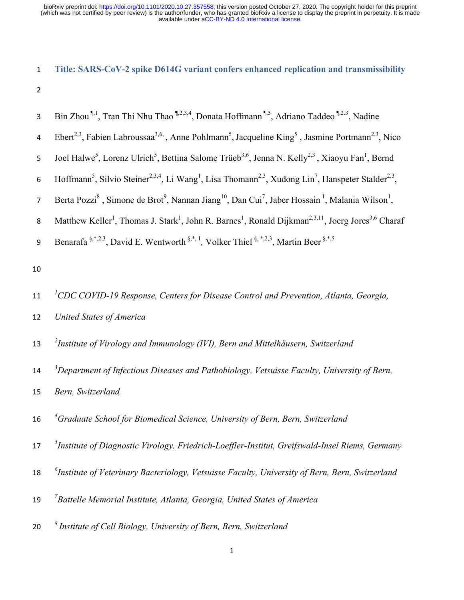# 1 **Title: SARS-CoV-2 spike D614G variant confers enhanced replication and transmissibility**

2

| 3                | Bin Zhou $\mathbb{I}^1$ , Tran Thi Nhu Thao $\mathbb{I}^{2,3,4}$ , Donata Hoffmann $\mathbb{I}^5$ , Adriano Taddeo $\mathbb{I}^{2,3}$ , Nadine                              |
|------------------|-----------------------------------------------------------------------------------------------------------------------------------------------------------------------------|
| 4                | Ebert <sup>2,3</sup> , Fabien Labroussaa <sup>3,6,</sup> Anne Pohlmann <sup>5</sup> , Jacqueline King <sup>5</sup> , Jasmine Portmann <sup>2,3</sup> , Nico                 |
| 5                | Joel Halwe <sup>5</sup> , Lorenz Ulrich <sup>5</sup> , Bettina Salome Trüeb <sup>3,6</sup> , Jenna N. Kelly <sup>2,3</sup> , Xiaoyu Fan <sup>1</sup> , Bernd                |
| $\boldsymbol{6}$ | Hoffmann <sup>5</sup> , Silvio Steiner <sup>2,3,4</sup> , Li Wang <sup>1</sup> , Lisa Thomann <sup>2,3</sup> , Xudong Lin <sup>7</sup> , Hanspeter Stalder <sup>2,3</sup> , |
| $\overline{7}$   | Berta Pozzi <sup>8</sup> , Simone de Brot <sup>9</sup> , Nannan Jiang <sup>10</sup> , Dan Cui <sup>7</sup> , Jaber Hossain <sup>1</sup> , Malania Wilson <sup>1</sup> ,     |
| $\bf 8$          | Matthew Keller <sup>1</sup> , Thomas J. Stark <sup>1</sup> , John R. Barnes <sup>1</sup> , Ronald Dijkman <sup>2,3,11</sup> , Joerg Jores <sup>3,6</sup> Charaf             |
| 9                | Benarafa <sup>§,*,2,3</sup> , David E. Wentworth <sup>§,*, 1</sup> , Volker Thiel <sup>§,*,2,3</sup> , Martin Beer <sup>§,*,5</sup>                                         |
| $10\,$           |                                                                                                                                                                             |
| $11\,$           | ${}^{1}$ CDC COVID-19 Response, Centers for Disease Control and Prevention, Atlanta, Georgia,                                                                               |
| 12               | United States of America                                                                                                                                                    |
| 13               | <sup>2</sup> Institute of Virology and Immunology (IVI), Bern and Mittelhäusern, Switzerland                                                                                |
| $14\,$           | $3$ Department of Infectious Diseases and Pathobiology, Vetsuisse Faculty, University of Bern,                                                                              |
| 15               | Bern, Switzerland                                                                                                                                                           |
| 16               | <sup>4</sup> Graduate School for Biomedical Science, University of Bern, Bern, Switzerland                                                                                  |
| 17 <sup>2</sup>  | <sup>5</sup> Institute of Diagnostic Virology, Friedrich-Loeffler-Institut, Greifswald-Insel Riems, Germany                                                                 |
| 18               | $^6$ Institute of Veterinary Bacteriology, Vetsuisse Faculty, University of Bern, Bern, Switzerland                                                                         |
| 19               | $\mathrm{}^{7}$ Battelle Memorial Institute, Atlanta, Georgia, United States of America                                                                                     |
| 20               | $\delta$ Institute of Cell Biology, University of Bern, Bern, Switzerland                                                                                                   |
|                  |                                                                                                                                                                             |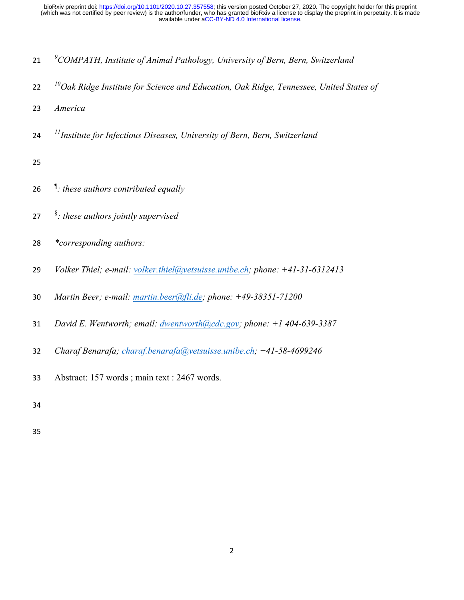- *<sup>9</sup> COMPATH, Institute of Animal Pathology, University of Bern, Bern, Switzerland*
- *<sup>10</sup> Oak Ridge Institute for Science and Education, Oak Ridge, Tennessee, United States of*
- *America*
- *<sup>11</sup> Institute for Infectious Diseases, University of Bern, Bern, Switzerland*
- 
- ¶ *: these authors contributed equally*
- § *: these authors jointly supervised*
- *\*corresponding authors:*
- *Volker Thiel; e-mail: volker.thiel@vetsuisse.unibe.ch; phone: +41-31-6312413*
- *Martin Beer; e-mail: martin.beer@fli.de; phone: +49-38351-71200*
- *David E. Wentworth; email: dwentworth@cdc.gov; phone: +1 404-639-3387*
- *Charaf Benarafa; charaf.benarafa@vetsuisse.unibe.ch; +41-58-4699246*
- Abstract: 157 words ; main text : 2467 words.
-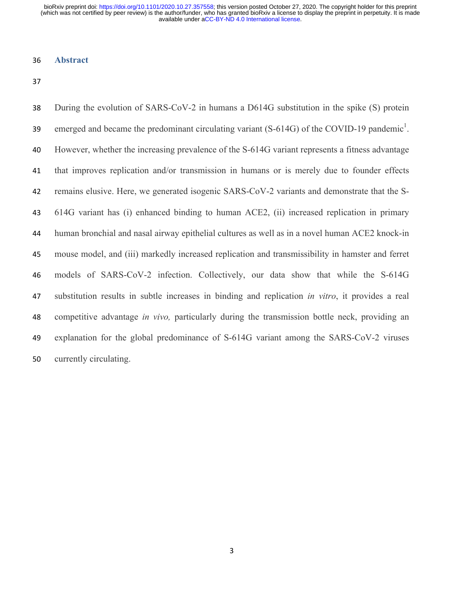### **Abstract**

 During the evolution of SARS-CoV-2 in humans a D614G substitution in the spike (S) protein emerged and became the predominant circulating variant  $(S-614G)$  of the COVID-19 pandemic<sup>1</sup>. However, whether the increasing prevalence of the S-614G variant represents a fitness advantage that improves replication and/or transmission in humans or is merely due to founder effects remains elusive. Here, we generated isogenic SARS-CoV-2 variants and demonstrate that the S- 614G variant has (i) enhanced binding to human ACE2, (ii) increased replication in primary human bronchial and nasal airway epithelial cultures as well as in a novel human ACE2 knock-in mouse model, and (iii) markedly increased replication and transmissibility in hamster and ferret models of SARS-CoV-2 infection. Collectively, our data show that while the S-614G substitution results in subtle increases in binding and replication *in vitro*, it provides a real competitive advantage *in vivo,* particularly during the transmission bottle neck, providing an explanation for the global predominance of S-614G variant among the SARS-CoV-2 viruses currently circulating.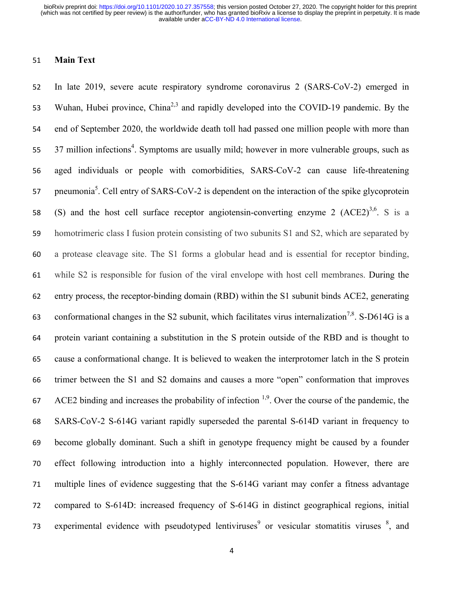### **Main Text**

 In late 2019, severe acute respiratory syndrome coronavirus 2 (SARS-CoV-2) emerged in 53 Wuhan, Hubei province, China<sup>2,3</sup> and rapidly developed into the COVID-19 pandemic. By the end of September 2020, the worldwide death toll had passed one million people with more than 55 37 million infections<sup>4</sup>. Symptoms are usually mild; however in more vulnerable groups, such as aged individuals or people with comorbidities, SARS-CoV-2 can cause life-threatening 57 pneumonia<sup>5</sup>. Cell entry of SARS-CoV-2 is dependent on the interaction of the spike glycoprotein 58 (S) and the host cell surface receptor angiotensin-converting enzyme 2  $(ACE2)^{3,6}$ . S is a homotrimeric class I fusion protein consisting of two subunits S1 and S2, which are separated by a protease cleavage site. The S1 forms a globular head and is essential for receptor binding, while S2 is responsible for fusion of the viral envelope with host cell membranes. During the entry process, the receptor-binding domain (RBD) within the S1 subunit binds ACE2, generating 63 conformational changes in the S2 subunit, which facilitates virus internalization<sup>7,8</sup>. S-D614G is a protein variant containing a substitution in the S protein outside of the RBD and is thought to cause a conformational change. It is believed to weaken the interprotomer latch in the S protein trimer between the S1 and S2 domains and causes a more "open" conformation that improves  $ACE2$  binding and increases the probability of infection  $1,9$ . Over the course of the pandemic, the SARS-CoV-2 S-614G variant rapidly superseded the parental S-614D variant in frequency to become globally dominant. Such a shift in genotype frequency might be caused by a founder effect following introduction into a highly interconnected population. However, there are multiple lines of evidence suggesting that the S-614G variant may confer a fitness advantage compared to S-614D: increased frequency of S-614G in distinct geographical regions, initial 73 experimental evidence with pseudotyped lentiviruses<sup>9</sup> or vesicular stomatitis viruses  $\frac{8}{3}$  and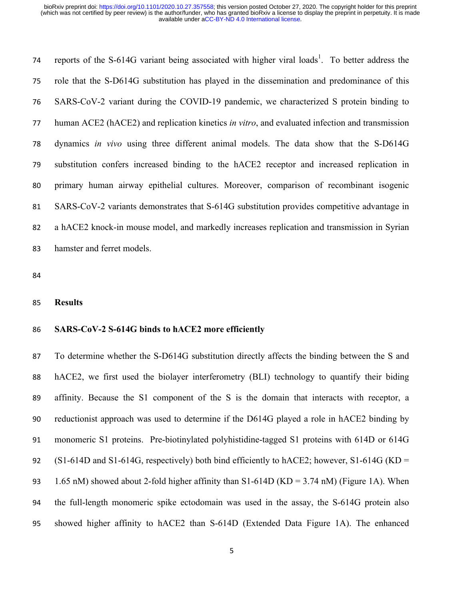74 reports of the S-614G variant being associated with higher viral loads<sup>1</sup>. To better address the role that the S-D614G substitution has played in the dissemination and predominance of this SARS-CoV-2 variant during the COVID-19 pandemic, we characterized S protein binding to human ACE2 (hACE2) and replication kinetics *in vitro*, and evaluated infection and transmission dynamics *in vivo* using three different animal models. The data show that the S-D614G substitution confers increased binding to the hACE2 receptor and increased replication in primary human airway epithelial cultures. Moreover, comparison of recombinant isogenic SARS-CoV-2 variants demonstrates that S-614G substitution provides competitive advantage in a hACE2 knock-in mouse model, and markedly increases replication and transmission in Syrian hamster and ferret models.

#### **Results**

### **SARS-CoV-2 S-614G binds to hACE2 more efficiently**

 To determine whether the S-D614G substitution directly affects the binding between the S and hACE2, we first used the biolayer interferometry (BLI) technology to quantify their biding affinity. Because the S1 component of the S is the domain that interacts with receptor, a reductionist approach was used to determine if the D614G played a role in hACE2 binding by monomeric S1 proteins. Pre-biotinylated polyhistidine-tagged S1 proteins with 614D or 614G 92 (S1-614D and S1-614G, respectively) both bind efficiently to hACE2; however, S1-614G (KD = 93 1.65 nM) showed about 2-fold higher affinity than  $S1-614D$  (KD = 3.74 nM) (Figure 1A). When the full-length monomeric spike ectodomain was used in the assay, the S-614G protein also showed higher affinity to hACE2 than S-614D (Extended Data Figure 1A). The enhanced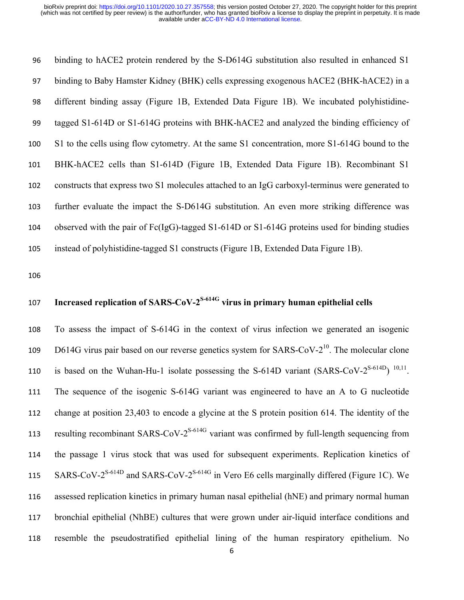binding to hACE2 protein rendered by the S-D614G substitution also resulted in enhanced S1 binding to Baby Hamster Kidney (BHK) cells expressing exogenous hACE2 (BHK-hACE2) in a different binding assay (Figure 1B, Extended Data Figure 1B). We incubated polyhistidine- tagged S1-614D or S1-614G proteins with BHK-hACE2 and analyzed the binding efficiency of S1 to the cells using flow cytometry. At the same S1 concentration, more S1-614G bound to the BHK-hACE2 cells than S1-614D (Figure 1B, Extended Data Figure 1B). Recombinant S1 constructs that express two S1 molecules attached to an IgG carboxyl-terminus were generated to further evaluate the impact the S-D614G substitution. An even more striking difference was observed with the pair of Fc(IgG)-tagged S1-614D or S1-614G proteins used for binding studies instead of polyhistidine-tagged S1 constructs (Figure 1B, Extended Data Figure 1B).

### **Increased replication of SARS-CoV-2<sup>S-614G</sup> virus in primary human epithelial cells**

 To assess the impact of S-614G in the context of virus infection we generated an isogenic 109 D614G virus pair based on our reverse genetics system for SARS-CoV- $2^{10}$ . The molecular clone 110 is based on the Wuhan-Hu-1 isolate possessing the S-614D variant  $(SARS-CoV-2<sup>S-614D</sup>)$  <sup>10,11</sup>. The sequence of the isogenic S-614G variant was engineered to have an A to G nucleotide change at position 23,403 to encode a glycine at the S protein position 614. The identity of the 113 resulting recombinant SARS-CoV- $2^{S-614G}$  variant was confirmed by full-length sequencing from the passage 1 virus stock that was used for subsequent experiments. Replication kinetics of 115 SARS-CoV- $2^{S-614D}$  and SARS-CoV- $2^{S-614G}$  in Vero E6 cells marginally differed (Figure 1C). We assessed replication kinetics in primary human nasal epithelial (hNE) and primary normal human bronchial epithelial (NhBE) cultures that were grown under air-liquid interface conditions and resemble the pseudostratified epithelial lining of the human respiratory epithelium. No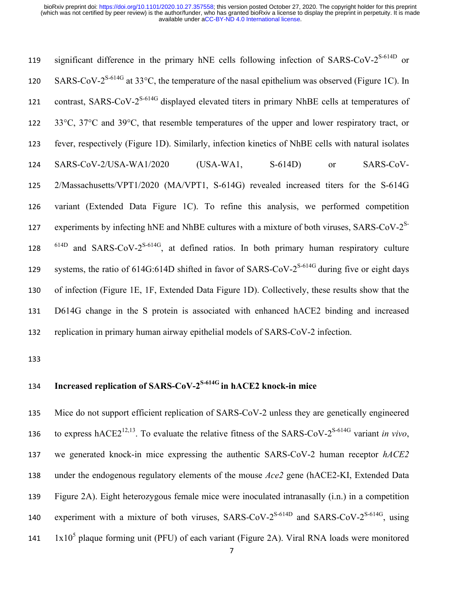119 significant difference in the primary hNE cells following infection of SARS-CoV- $2^{S-614D}$  or 120 SARS-CoV- $2^{S-614G}$  at 33°C, the temperature of the nasal epithelium was observed (Figure 1C). In 121 contrast, SARS-CoV- $2^{S-614G}$  displayed elevated titers in primary NhBE cells at temperatures of 33°C, 37°C and 39°C, that resemble temperatures of the upper and lower respiratory tract, or fever, respectively (Figure 1D). Similarly, infection kinetics of NhBE cells with natural isolates SARS-CoV-2/USA-WA1/2020 (USA-WA1, S-614D) or SARS-CoV- 2/Massachusetts/VPT1/2020 (MA/VPT1, S-614G) revealed increased titers for the S-614G variant (Extended Data Figure 1C). To refine this analysis, we performed competition experiments by infecting hNE and NhBE cultures with a mixture of both viruses,  $SARS-CoV-2<sup>S-</sup>$  <sup>614D</sup> and SARS-CoV-2<sup>S-614G</sup>, at defined ratios. In both primary human respiratory culture systems, the ratio of  $614G:614D$  shifted in favor of SARS-CoV- $2^{S-614G}$  during five or eight days of infection (Figure 1E, 1F, Extended Data Figure 1D). Collectively, these results show that the D614G change in the S protein is associated with enhanced hACE2 binding and increased replication in primary human airway epithelial models of SARS-CoV-2 infection.

### **Increased replication of SARS-CoV-2S-614G in hACE2 knock-in mice**

 Mice do not support efficient replication of SARS-CoV-2 unless they are genetically engineered to express hACE2<sup>12,13</sup>. To evaluate the relative fitness of the SARS-CoV-2<sup>S-614G</sup> variant *in vivo*, we generated knock-in mice expressing the authentic SARS-CoV-2 human receptor *hACE2* under the endogenous regulatory elements of the mouse *Ace2* gene (hACE2-KI, Extended Data Figure 2A). Eight heterozygous female mice were inoculated intranasally (i.n.) in a competition 140 experiment with a mixture of both viruses,  $SARS-CoV-2^{S-614D}$  and  $SARS-CoV-2^{S-614G}$ , using lx $10<sup>5</sup>$  plaque forming unit (PFU) of each variant (Figure 2A). Viral RNA loads were monitored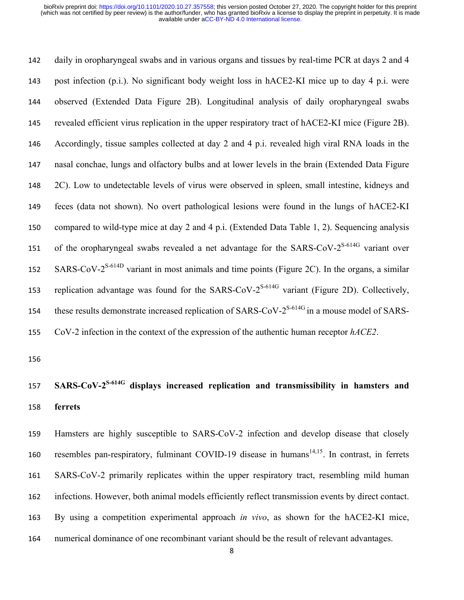daily in oropharyngeal swabs and in various organs and tissues by real-time PCR at days 2 and 4 post infection (p.i.). No significant body weight loss in hACE2-KI mice up to day 4 p.i. were observed (Extended Data Figure 2B). Longitudinal analysis of daily oropharyngeal swabs revealed efficient virus replication in the upper respiratory tract of hACE2-KI mice (Figure 2B). Accordingly, tissue samples collected at day 2 and 4 p.i. revealed high viral RNA loads in the nasal conchae, lungs and olfactory bulbs and at lower levels in the brain (Extended Data Figure 2C). Low to undetectable levels of virus were observed in spleen, small intestine, kidneys and feces (data not shown). No overt pathological lesions were found in the lungs of hACE2-KI compared to wild-type mice at day 2 and 4 p.i. (Extended Data Table 1, 2). Sequencing analysis 151 of the oropharyngeal swabs revealed a net advantage for the SARS-CoV- $2^{S-614G}$  variant over SARS-CoV- $2^{S-614D}$  variant in most animals and time points (Figure 2C). In the organs, a similar 153 replication advantage was found for the SARS-CoV- $2^{S-614G}$  variant (Figure 2D). Collectively, these results demonstrate increased replication of  $SARS-CoV-2^{S-614G}$  in a mouse model of  $SARS-$ CoV-2 infection in the context of the expression of the authentic human receptor *hACE2*.

## 157 **SARS-CoV-2<sup>S-614G</sup> displays increased replication and transmissibility in hamsters and ferrets**

 Hamsters are highly susceptible to SARS-CoV-2 infection and develop disease that closely 160 resembles pan-respiratory, fulminant COVID-19 disease in humans<sup>14,15</sup>. In contrast, in ferrets SARS-CoV-2 primarily replicates within the upper respiratory tract, resembling mild human infections. However, both animal models efficiently reflect transmission events by direct contact. By using a competition experimental approach *in vivo*, as shown for the hACE2-KI mice, numerical dominance of one recombinant variant should be the result of relevant advantages.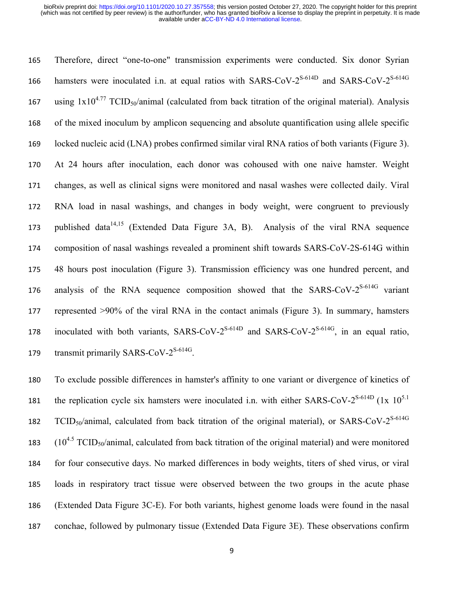165 Therefore, direct "one-to-one" transmission experiments were conducted. Six donor Syrian 166 hamsters were inoculated i.n. at equal ratios with SARS-CoV- $2^{S-614D}$  and SARS-CoV- $2^{S-614G}$ 167 using  $1x10^{4.77}$  TCID<sub>50</sub>/animal (calculated from back titration of the original material). Analysis 168 of the mixed inoculum by amplicon sequencing and absolute quantification using allele specific 169 locked nucleic acid (LNA) probes confirmed similar viral RNA ratios of both variants (Figure 3). 170 At 24 hours after inoculation, each donor was cohoused with one naive hamster. Weight 171 changes, as well as clinical signs were monitored and nasal washes were collected daily. Viral 172 RNA load in nasal washings, and changes in body weight, were congruent to previously 173 published data<sup>14,15</sup> (Extended Data Figure 3A, B). Analysis of the viral RNA sequence 174 composition of nasal washings revealed a prominent shift towards SARS-CoV-2S-614G within 175 48 hours post inoculation (Figure 3). Transmission efficiency was one hundred percent, and 176 analysis of the RNA sequence composition showed that the SARS-CoV- $2^{S-614G}$  variant 177 represented ˃90% of the viral RNA in the contact animals (Figure 3). In summary, hamsters 178 inoculated with both variants,  $SARS-CoV-2^{S-614D}$  and  $SARS-CoV-2^{S-614G}$ , in an equal ratio, 179 transmit primarily SARS-CoV- $2^{S-614G}$ .

 To exclude possible differences in hamster's affinity to one variant or divergence of kinetics of 181 the replication cycle six hamsters were inoculated i.n. with either SARS-CoV- $2^{S-614D}$  (1x 10<sup>5.1</sup>) 182 TCID<sub>50</sub>/animal, calculated from back titration of the original material), or SARS-CoV-2<sup>S-614G</sup>  $(10^{4.5} \text{ TCID}_{50}/\text{animal}, \text{calculated from back titration of the original material})$  and were monitored for four consecutive days. No marked differences in body weights, titers of shed virus, or viral loads in respiratory tract tissue were observed between the two groups in the acute phase (Extended Data Figure 3C-E). For both variants, highest genome loads were found in the nasal conchae, followed by pulmonary tissue (Extended Data Figure 3E). These observations confirm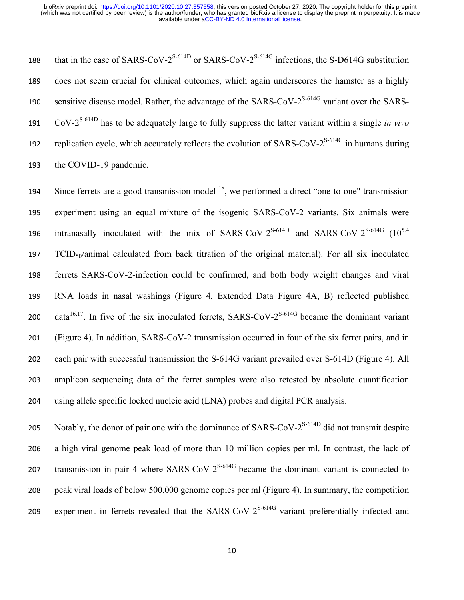that in the case of SARS-CoV- $2^{S-614D}$  or SARS-CoV- $2^{S-614G}$  infections, the S-D614G substitution 189 does not seem crucial for clinical outcomes, which again underscores the hamster as a highly 190 sensitive disease model. Rather, the advantage of the SARS-CoV- $2^{S-614G}$  variant over the SARS-CoV-2S-614D 191 has to be adequately large to fully suppress the latter variant within a single *in vivo* 192 replication cycle, which accurately reflects the evolution of SARS-CoV- $2^{S-614G}$  in humans during 193 the COVID-19 pandemic.

194 Since ferrets are a good transmission model  $^{18}$ , we performed a direct "one-to-one" transmission experiment using an equal mixture of the isogenic SARS-CoV-2 variants. Six animals were 196 intranasally inoculated with the mix of SARS-CoV- $2^{S-614D}$  and SARS-CoV- $2^{S-614G}$  (10<sup>5.4</sup>) 197 TCID<sub>50</sub>/animal calculated from back titration of the original material). For all six inoculated ferrets SARS-CoV-2-infection could be confirmed, and both body weight changes and viral RNA loads in nasal washings (Figure 4, Extended Data Figure 4A, B) reflected published 200 data<sup>16,17</sup>. In five of the six inoculated ferrets, SARS-CoV-2<sup>S-614G</sup> became the dominant variant (Figure 4). In addition, SARS-CoV-2 transmission occurred in four of the six ferret pairs, and in each pair with successful transmission the S-614G variant prevailed over S-614D (Figure 4). All amplicon sequencing data of the ferret samples were also retested by absolute quantification using allele specific locked nucleic acid (LNA) probes and digital PCR analysis.

205 Notably, the donor of pair one with the dominance of SARS-CoV- $2^{S-614D}$  did not transmit despite 206 a high viral genome peak load of more than 10 million copies per ml. In contrast, the lack of transmission in pair 4 where  $SARS-CoV-2^{S-614G}$  became the dominant variant is connected to 208 peak viral loads of below 500,000 genome copies per ml (Figure 4). In summary, the competition 209 experiment in ferrets revealed that the SARS-CoV- $2^{S-614G}$  variant preferentially infected and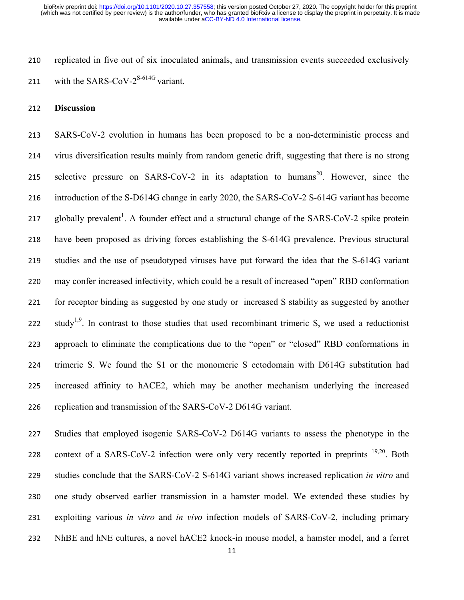replicated in five out of six inoculated animals, and transmission events succeeded exclusively 211 with the SARS-CoV- $2^{S-614G}$  variant.

### **Discussion**

 SARS-CoV-2 evolution in humans has been proposed to be a non-deterministic process and virus diversification results mainly from random genetic drift, suggesting that there is no strong 215 selective pressure on SARS-CoV-2 in its adaptation to humans<sup>20</sup>. However, since the introduction of the S-D614G change in early 2020, the SARS-CoV-2 S-614G variant has become 217 globally prevalent<sup>1</sup>. A founder effect and a structural change of the SARS-CoV-2 spike protein have been proposed as driving forces establishing the S-614G prevalence. Previous structural studies and the use of pseudotyped viruses have put forward the idea that the S-614G variant may confer increased infectivity, which could be a result of increased "open" RBD conformation for receptor binding as suggested by one study or increased S stability as suggested by another 222 study<sup>1,9</sup>. In contrast to those studies that used recombinant trimeric S, we used a reductionist approach to eliminate the complications due to the "open" or "closed" RBD conformations in trimeric S. We found the S1 or the monomeric S ectodomain with D614G substitution had increased affinity to hACE2, which may be another mechanism underlying the increased replication and transmission of the SARS-CoV-2 D614G variant.

 Studies that employed isogenic SARS-CoV-2 D614G variants to assess the phenotype in the 228 context of a SARS-CoV-2 infection were only very recently reported in preprints  $19,20$ . Both studies conclude that the SARS-CoV-2 S-614G variant shows increased replication *in vitro* and one study observed earlier transmission in a hamster model. We extended these studies by exploiting various *in vitro* and *in vivo* infection models of SARS-CoV-2, including primary NhBE and hNE cultures, a novel hACE2 knock-in mouse model, a hamster model, and a ferret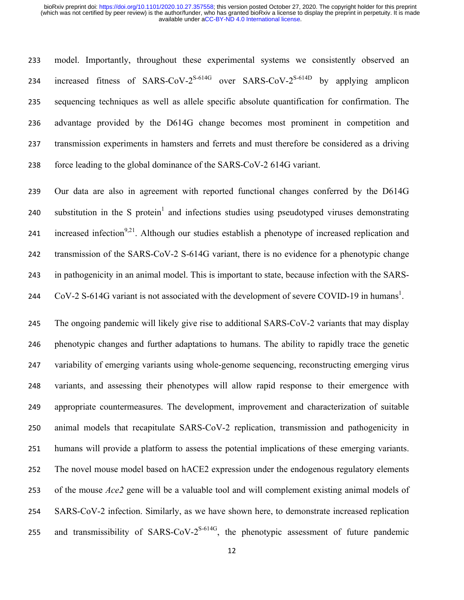model. Importantly, throughout these experimental systems we consistently observed an 234 increased fitness of SARS-CoV- $2^{S-614G}$  over SARS-CoV- $2^{S-614D}$  by applying amplicon sequencing techniques as well as allele specific absolute quantification for confirmation. The advantage provided by the D614G change becomes most prominent in competition and transmission experiments in hamsters and ferrets and must therefore be considered as a driving force leading to the global dominance of the SARS-CoV-2 614G variant.

 Our data are also in agreement with reported functional changes conferred by the D614G 240 substitution in the S protein<sup>1</sup> and infections studies using pseudotyped viruses demonstrating 241 increased infection<sup>9,21</sup>. Although our studies establish a phenotype of increased replication and transmission of the SARS-CoV-2 S-614G variant, there is no evidence for a phenotypic change in pathogenicity in an animal model. This is important to state, because infection with the SARS-244 CoV-2 S-614G variant is not associated with the development of severe COVID-19 in humans<sup>1</sup>.

 The ongoing pandemic will likely give rise to additional SARS-CoV-2 variants that may display phenotypic changes and further adaptations to humans. The ability to rapidly trace the genetic variability of emerging variants using whole-genome sequencing, reconstructing emerging virus variants, and assessing their phenotypes will allow rapid response to their emergence with appropriate countermeasures. The development, improvement and characterization of suitable animal models that recapitulate SARS-CoV-2 replication, transmission and pathogenicity in humans will provide a platform to assess the potential implications of these emerging variants. The novel mouse model based on hACE2 expression under the endogenous regulatory elements of the mouse *Ace2* gene will be a valuable tool and will complement existing animal models of SARS-CoV-2 infection. Similarly, as we have shown here, to demonstrate increased replication 255 and transmissibility of SARS-CoV- $2^{S-614G}$ , the phenotypic assessment of future pandemic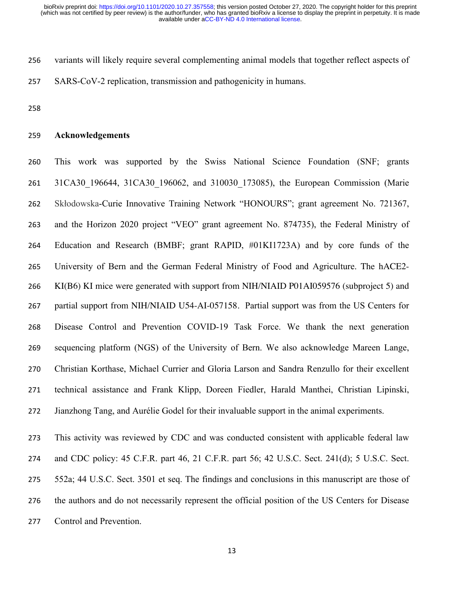variants will likely require several complementing animal models that together reflect aspects of SARS-CoV-2 replication, transmission and pathogenicity in humans.

### **Acknowledgements**

 This work was supported by the Swiss National Science Foundation (SNF; grants 31CA30\_196644, 31CA30\_196062, and 310030\_173085), the European Commission (Marie Skłodowska-Curie Innovative Training Network "HONOURS"; grant agreement No. 721367, and the Horizon 2020 project "VEO" grant agreement No. 874735), the Federal Ministry of Education and Research (BMBF; grant RAPID, #01KI1723A) and by core funds of the University of Bern and the German Federal Ministry of Food and Agriculture. The hACE2- KI(B6) KI mice were generated with support from NIH/NIAID P01AI059576 (subproject 5) and partial support from NIH/NIAID U54-AI-057158. Partial support was from the US Centers for Disease Control and Prevention COVID-19 Task Force. We thank the next generation sequencing platform (NGS) of the University of Bern. We also acknowledge Mareen Lange, Christian Korthase, Michael Currier and Gloria Larson and Sandra Renzullo for their excellent technical assistance and Frank Klipp, Doreen Fiedler, Harald Manthei, Christian Lipinski, Jianzhong Tang, and Aurélie Godel for their invaluable support in the animal experiments.

 This activity was reviewed by CDC and was conducted consistent with applicable federal law and CDC policy: 45 C.F.R. part 46, 21 C.F.R. part 56; 42 U.S.C. Sect. 241(d); 5 U.S.C. Sect. 552a; 44 U.S.C. Sect. 3501 et seq. The findings and conclusions in this manuscript are those of the authors and do not necessarily represent the official position of the US Centers for Disease Control and Prevention.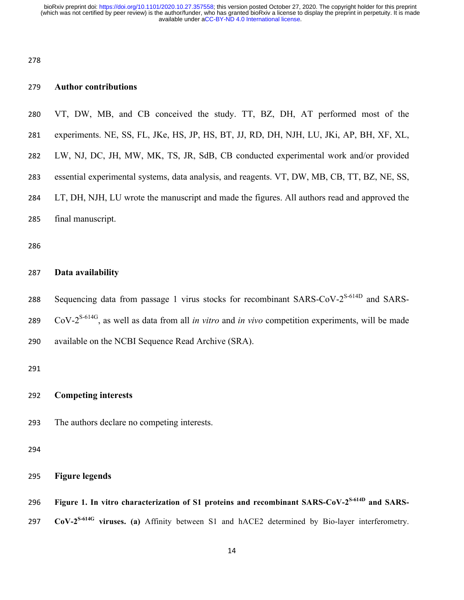### **Author contributions**

- VT, DW, MB, and CB conceived the study. TT, BZ, DH, AT performed most of the
- experiments. NE, SS, FL, JKe, HS, JP, HS, BT, JJ, RD, DH, NJH, LU, JKi, AP, BH, XF, XL,
- LW, NJ, DC, JH, MW, MK, TS, JR, SdB, CB conducted experimental work and/or provided
- essential experimental systems, data analysis, and reagents. VT, DW, MB, CB, TT, BZ, NE, SS,
- LT, DH, NJH, LU wrote the manuscript and made the figures. All authors read and approved the
- final manuscript.

### **Data availability**

288 Sequencing data from passage 1 virus stocks for recombinant SARS-CoV- $2^{S-614D}$  and SARS- CoV- $2^{S-614G}$ , as well as data from all *in vitro* and *in vivo* competition experiments, will be made available on the NCBI Sequence Read Archive (SRA).

### **Competing interests**

The authors declare no competing interests.

```
295 Figure legends
```
296 Figure 1. In vitro characterization of S1 proteins and recombinant SARS-CoV-2<sup>S-614D</sup> and SARS-297 **CoV-2<sup>S-614G</sup>** viruses. (a) Affinity between S1 and hACE2 determined by Bio-layer interferometry.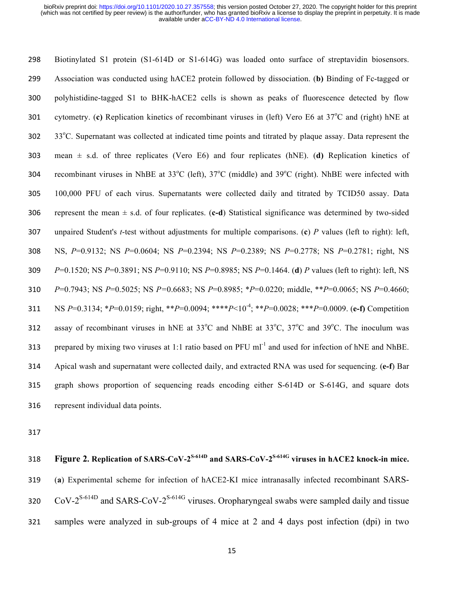Biotinylated S1 protein (S1-614D or S1-614G) was loaded onto surface of streptavidin biosensors. Association was conducted using hACE2 protein followed by dissociation. (**b)** Binding of Fc-tagged or polyhistidine-tagged S1 to BHK-hACE2 cells is shown as peaks of fluorescence detected by flow 301 cytometry. (c) Replication kinetics of recombinant viruses in (left) Vero E6 at 37<sup>o</sup>C and (right) hNE at  $33^{\circ}$ C. Supernatant was collected at indicated time points and titrated by plaque assay. Data represent the mean ± s.d. of three replicates (Vero E6) and four replicates (hNE). (**d)** Replication kinetics of 304 recombinant viruses in NhBE at 33°C (left), 37°C (middle) and 39°C (right). NhBE were infected with 100,000 PFU of each virus. Supernatants were collected daily and titrated by TCID50 assay. Data represent the mean ± s.d. of four replicates. (**c-d**) Statistical significance was determined by two-sided unpaired Student's *t*-test without adjustments for multiple comparisons. (**c**) *P* values (left to right): left, NS, *P*=0.9132; NS *P*=0.0604; NS *P*=0.2394; NS *P*=0.2389; NS *P*=0.2778; NS *P*=0.2781; right, NS *P*=0.1520; NS *P*=0.3891; NS *P*=0.9110; NS *P*=0.8985; NS *P*=0.1464. (**d**) *P* values (left to right): left, NS *P*=0.7943; NS *P*=0.5025; NS *P=*0.6683; NS *P*=0.8985; \**P*=0.0220; middle, \*\**P*=0.0065; NS *P*=0.4660; NS *P*=0.3134; \**P*=0.0159; right, \*\**P*=0.0094; \*\*\*\**P*<10-4 ; \*\**P*=0.0028; \*\*\**P*=0.0009. (**e-f)** Competition 312 assay of recombinant viruses in hNE at  $33^{\circ}$ C and NhBE at  $33^{\circ}$ C,  $37^{\circ}$ C and  $39^{\circ}$ C. The inoculum was 313 prepared by mixing two viruses at 1:1 ratio based on PFU ml<sup>-1</sup> and used for infection of hNE and NhBE. Apical wash and supernatant were collected daily, and extracted RNA was used for sequencing. (**e-f**) Bar graph shows proportion of sequencing reads encoding either S-614D or S-614G, and square dots represent individual data points.

**Figure 2. Replication of SARS-CoV-2S-614D and SARS-CoV-2S-614G viruses in hACE2 knock-in mice.** (**a**) Experimental scheme for infection of hACE2-KI mice intranasally infected recombinant SARS- $C_0V^{-2^{S-614D}}$  and SARS-CoV-2<sup>S-614G</sup> viruses. Oropharyngeal swabs were sampled daily and tissue samples were analyzed in sub-groups of 4 mice at 2 and 4 days post infection (dpi) in two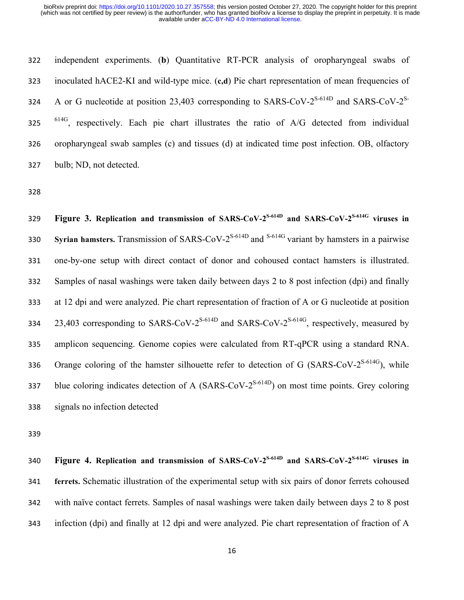independent experiments. (**b**) Quantitative RT-PCR analysis of oropharyngeal swabs of inoculated hACE2-KI and wild-type mice. (**c,d**) Pie chart representation of mean frequencies of 324 A or G nucleotide at position 23,403 corresponding to SARS-CoV- $2^{S-614D}$  and SARS-CoV- $2^{S-614D}$  $614G$ , respectively. Each pie chart illustrates the ratio of A/G detected from individual oropharyngeal swab samples (c) and tissues (d) at indicated time post infection. OB, olfactory bulb; ND, not detected.

**Figure 3. Replication and transmission of SARS-CoV-2S-614D and SARS-CoV-2S-614G viruses in Syrian hamsters.** Transmission of SARS-CoV-2<sup>S-614D</sup> and <sup>S-614G</sup> variant by hamsters in a pairwise one-by-one setup with direct contact of donor and cohoused contact hamsters is illustrated. Samples of nasal washings were taken daily between days 2 to 8 post infection (dpi) and finally at 12 dpi and were analyzed. Pie chart representation of fraction of A or G nucleotide at position 23,403 corresponding to SARS-CoV- $2^{S-614D}$  and SARS-CoV- $2^{S-614G}$ , respectively, measured by amplicon sequencing. Genome copies were calculated from RT-qPCR using a standard RNA. 336 Orange coloring of the hamster silhouette refer to detection of G (SARS-CoV- $2^{S-614G}$ ), while 337 blue coloring indicates detection of A (SARS-CoV- $2^{S-614D}$ ) on most time points. Grey coloring signals no infection detected

**Figure 4. Replication and transmission of SARS-CoV-2S-614D and SARS-CoV-2S-614G viruses in ferrets.** Schematic illustration of the experimental setup with six pairs of donor ferrets cohoused with naïve contact ferrets. Samples of nasal washings were taken daily between days 2 to 8 post infection (dpi) and finally at 12 dpi and were analyzed. Pie chart representation of fraction of A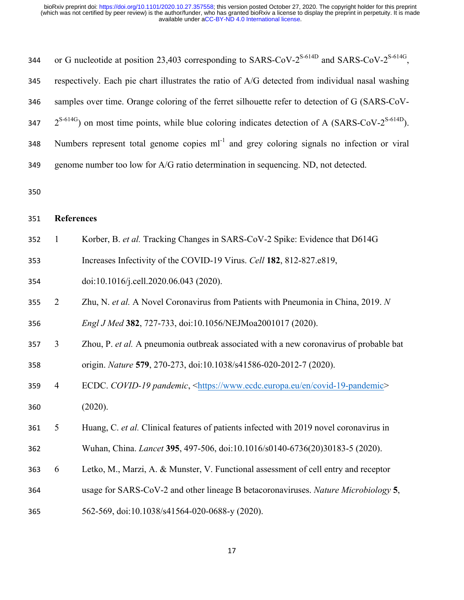| 344 |                                                                                                             | or G nucleotide at position 23,403 corresponding to SARS-CoV-2 <sup>S-614D</sup> and SARS-CoV-2 <sup>S-614G</sup> , |  |  |  |  |  |  |  |  |  |
|-----|-------------------------------------------------------------------------------------------------------------|---------------------------------------------------------------------------------------------------------------------|--|--|--|--|--|--|--|--|--|
| 345 | respectively. Each pie chart illustrates the ratio of A/G detected from individual nasal washing            |                                                                                                                     |  |  |  |  |  |  |  |  |  |
| 346 | samples over time. Orange coloring of the ferret silhouette refer to detection of G (SARS-CoV-              |                                                                                                                     |  |  |  |  |  |  |  |  |  |
| 347 | $2^{S-614G}$ ) on most time points, while blue coloring indicates detection of A (SARS-CoV- $2^{S-614D}$ ). |                                                                                                                     |  |  |  |  |  |  |  |  |  |
| 348 | Numbers represent total genome copies ml <sup>-1</sup> and grey coloring signals no infection or viral      |                                                                                                                     |  |  |  |  |  |  |  |  |  |
| 349 | genome number too low for A/G ratio determination in sequencing. ND, not detected.                          |                                                                                                                     |  |  |  |  |  |  |  |  |  |
| 350 |                                                                                                             |                                                                                                                     |  |  |  |  |  |  |  |  |  |
| 351 |                                                                                                             | <b>References</b>                                                                                                   |  |  |  |  |  |  |  |  |  |
| 352 | $\mathbf{1}$                                                                                                | Korber, B. et al. Tracking Changes in SARS-CoV-2 Spike: Evidence that D614G                                         |  |  |  |  |  |  |  |  |  |
| 353 |                                                                                                             | Increases Infectivity of the COVID-19 Virus. Cell 182, 812-827.e819,                                                |  |  |  |  |  |  |  |  |  |
| 354 |                                                                                                             | doi:10.1016/j.cell.2020.06.043 (2020).                                                                              |  |  |  |  |  |  |  |  |  |
| 355 | $\overline{2}$                                                                                              | Zhu, N. et al. A Novel Coronavirus from Patients with Pneumonia in China, 2019. N                                   |  |  |  |  |  |  |  |  |  |
| 356 |                                                                                                             | Engl J Med 382, 727-733, doi:10.1056/NEJMoa2001017 (2020).                                                          |  |  |  |  |  |  |  |  |  |
| 357 | $\overline{3}$                                                                                              | Zhou, P. et al. A pneumonia outbreak associated with a new coronavirus of probable bat                              |  |  |  |  |  |  |  |  |  |
| 358 |                                                                                                             | origin. Nature 579, 270-273, doi:10.1038/s41586-020-2012-7 (2020).                                                  |  |  |  |  |  |  |  |  |  |
| 359 | 4                                                                                                           | ECDC. COVID-19 pandemic, <https: covid-19-pandemic="" en="" www.ecdc.europa.eu=""></https:>                         |  |  |  |  |  |  |  |  |  |
| 360 |                                                                                                             | (2020).                                                                                                             |  |  |  |  |  |  |  |  |  |
| 361 | 5                                                                                                           | Huang, C. et al. Clinical features of patients infected with 2019 novel coronavirus in                              |  |  |  |  |  |  |  |  |  |
| 362 |                                                                                                             | Wuhan, China. Lancet 395, 497-506, doi:10.1016/s0140-6736(20)30183-5 (2020).                                        |  |  |  |  |  |  |  |  |  |
| 363 | 6                                                                                                           | Letko, M., Marzi, A. & Munster, V. Functional assessment of cell entry and receptor                                 |  |  |  |  |  |  |  |  |  |
| 364 |                                                                                                             | usage for SARS-CoV-2 and other lineage B betacoronaviruses. Nature Microbiology 5,                                  |  |  |  |  |  |  |  |  |  |
| 365 |                                                                                                             | 562-569, doi:10.1038/s41564-020-0688-y (2020).                                                                      |  |  |  |  |  |  |  |  |  |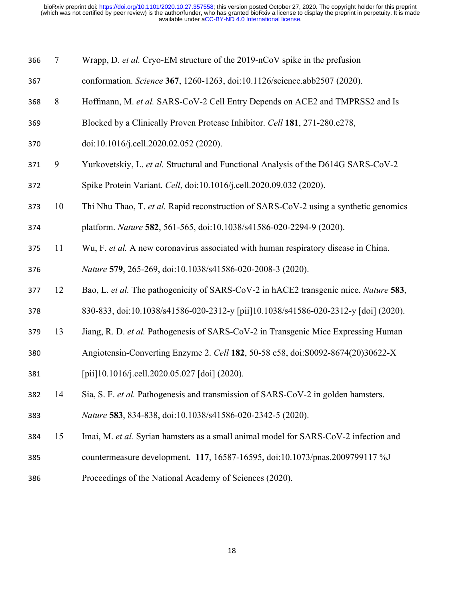| 366 | $\tau$ | Wrapp, D. et al. Cryo-EM structure of the 2019-nCoV spike in the prefusion            |
|-----|--------|---------------------------------------------------------------------------------------|
| 367 |        | conformation. Science 367, 1260-1263, doi:10.1126/science.abb2507 (2020).             |
| 368 | 8      | Hoffmann, M. et al. SARS-CoV-2 Cell Entry Depends on ACE2 and TMPRSS2 and Is          |
| 369 |        | Blocked by a Clinically Proven Protease Inhibitor. Cell 181, 271-280.e278,            |
| 370 |        | doi:10.1016/j.cell.2020.02.052 (2020).                                                |
| 371 | 9      | Yurkovetskiy, L. et al. Structural and Functional Analysis of the D614G SARS-CoV-2    |
| 372 |        | Spike Protein Variant. Cell, doi:10.1016/j.cell.2020.09.032 (2020).                   |
| 373 | 10     | Thi Nhu Thao, T. et al. Rapid reconstruction of SARS-CoV-2 using a synthetic genomics |
| 374 |        | platform. Nature 582, 561-565, doi:10.1038/s41586-020-2294-9 (2020).                  |
| 375 | 11     | Wu, F. et al. A new coronavirus associated with human respiratory disease in China.   |
| 376 |        | Nature 579, 265-269, doi:10.1038/s41586-020-2008-3 (2020).                            |
| 377 | 12     | Bao, L. et al. The pathogenicity of SARS-CoV-2 in hACE2 transgenic mice. Nature 583,  |
| 378 |        | 830-833, doi:10.1038/s41586-020-2312-y [pii]10.1038/s41586-020-2312-y [doi] (2020).   |
| 379 | 13     | Jiang, R. D. et al. Pathogenesis of SARS-CoV-2 in Transgenic Mice Expressing Human    |
| 380 |        | Angiotensin-Converting Enzyme 2. Cell 182, 50-58 e58, doi: S0092-8674(20)30622-X      |
| 381 |        | [pii]10.1016/j.cell.2020.05.027 [doi] (2020).                                         |
| 382 | 14     | Sia, S. F. et al. Pathogenesis and transmission of SARS-CoV-2 in golden hamsters.     |
| 383 |        | Nature 583, 834-838, doi:10.1038/s41586-020-2342-5 (2020).                            |
| 384 | 15     | Imai, M. et al. Syrian hamsters as a small animal model for SARS-CoV-2 infection and  |
| 385 |        | countermeasure development. 117, 16587-16595, doi:10.1073/pnas.2009799117 %J          |
| 386 |        | Proceedings of the National Academy of Sciences (2020).                               |
|     |        |                                                                                       |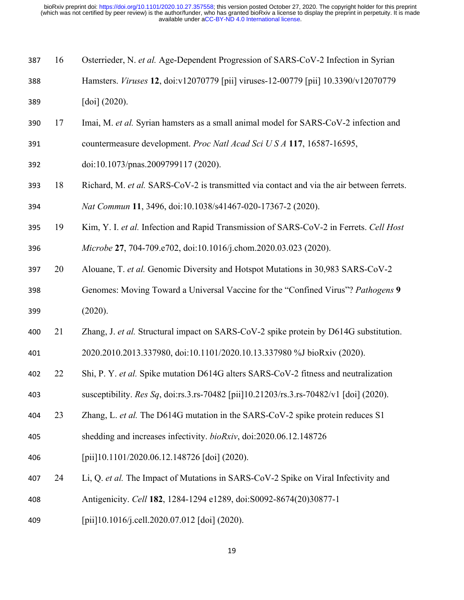| 387 | 16 | Osterrieder, N. et al. Age-Dependent Progression of SARS-CoV-2 Infection in Syrian        |
|-----|----|-------------------------------------------------------------------------------------------|
| 388 |    | Hamsters. Viruses 12, doi:v12070779 [pii] viruses-12-00779 [pii] 10.3390/v12070779        |
| 389 |    | $\left[ \text{doi} \right] (2020).$                                                       |
| 390 | 17 | Imai, M. et al. Syrian hamsters as a small animal model for SARS-CoV-2 infection and      |
| 391 |    | countermeasure development. Proc Natl Acad Sci U S A 117, 16587-16595,                    |
| 392 |    | doi:10.1073/pnas.2009799117 (2020).                                                       |
| 393 | 18 | Richard, M. et al. SARS-CoV-2 is transmitted via contact and via the air between ferrets. |
| 394 |    | Nat Commun 11, 3496, doi:10.1038/s41467-020-17367-2 (2020).                               |
| 395 | 19 | Kim, Y. I. et al. Infection and Rapid Transmission of SARS-CoV-2 in Ferrets. Cell Host    |
| 396 |    | Microbe 27, 704-709.e702, doi:10.1016/j.chom.2020.03.023 (2020).                          |
| 397 | 20 | Alouane, T. et al. Genomic Diversity and Hotspot Mutations in 30,983 SARS-CoV-2           |
| 398 |    | Genomes: Moving Toward a Universal Vaccine for the "Confined Virus"? Pathogens 9          |
| 399 |    | (2020).                                                                                   |
| 400 | 21 | Zhang, J. et al. Structural impact on SARS-CoV-2 spike protein by D614G substitution.     |
| 401 |    | 2020.2010.2013.337980, doi:10.1101/2020.10.13.337980 %J bioRxiv (2020).                   |
| 402 | 22 | Shi, P. Y. et al. Spike mutation D614G alters SARS-CoV-2 fitness and neutralization       |
| 403 |    | susceptibility. Res Sq, doi:rs.3.rs-70482 [pii]10.21203/rs.3.rs-70482/v1 [doi] (2020).    |
| 404 | 23 | Zhang, L. et al. The D614G mutation in the SARS-CoV-2 spike protein reduces S1            |
| 405 |    | shedding and increases infectivity. bioRxiv, doi:2020.06.12.148726                        |
| 406 |    | [pii]10.1101/2020.06.12.148726 [doi] (2020).                                              |
| 407 | 24 | Li, Q. et al. The Impact of Mutations in SARS-CoV-2 Spike on Viral Infectivity and        |
| 408 |    | Antigenicity. Cell 182, 1284-1294 e1289, doi:S0092-8674(20)30877-1                        |

[pii]10.1016/j.cell.2020.07.012 [doi] (2020).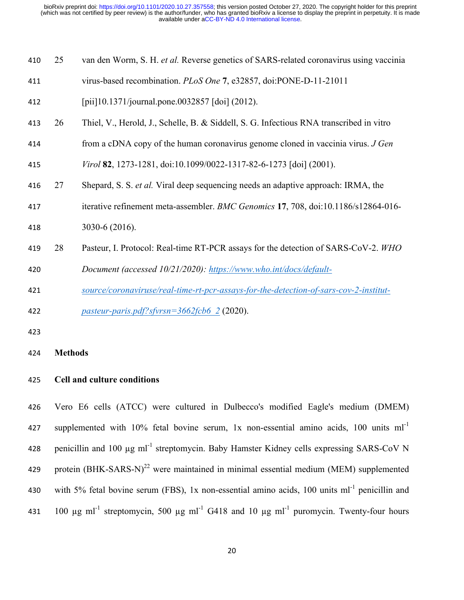| 410 | 25             | van den Worm, S. H. et al. Reverse genetics of SARS-related coronavirus using vaccinia  |
|-----|----------------|-----------------------------------------------------------------------------------------|
| 411 |                | virus-based recombination. PLoS One 7, e32857, doi:PONE-D-11-21011                      |
| 412 |                | [pii]10.1371/journal.pone.0032857 [doi] (2012).                                         |
| 413 | 26             | Thiel, V., Herold, J., Schelle, B. & Siddell, S. G. Infectious RNA transcribed in vitro |
| 414 |                | from a cDNA copy of the human coronavirus genome cloned in vaccinia virus. J Gen        |
| 415 |                | Virol 82, 1273-1281, doi:10.1099/0022-1317-82-6-1273 [doi] (2001).                      |
| 416 | 27             | Shepard, S. S. et al. Viral deep sequencing needs an adaptive approach: IRMA, the       |
| 417 |                | iterative refinement meta-assembler. BMC Genomics 17, 708, doi:10.1186/s12864-016-      |
| 418 |                | 3030-6 (2016).                                                                          |
| 419 | 28             | Pasteur, I. Protocol: Real-time RT-PCR assays for the detection of SARS-CoV-2. WHO      |
| 420 |                | Document (accessed 10/21/2020): https://www.who.int/docs/default-                       |
| 421 |                | source/coronaviruse/real-time-rt-pcr-assays-for-the-detection-of-sars-cov-2-institut-   |
| 422 |                | pasteur-paris.pdf?sfvrsn= $3662$ fcb6 2 (2020).                                         |
| 423 |                |                                                                                         |
| 424 | <b>Methods</b> |                                                                                         |

### **Cell and culture conditions**

 Vero E6 cells (ATCC) were cultured in Dulbecco's modified Eagle's medium (DMEM) 427 supplemented with  $10\%$  fetal bovine serum, 1x non-essential amino acids, 100 units ml<sup>-1</sup> 428 penicillin and 100  $\mu$ g ml<sup>-1</sup> streptomycin. Baby Hamster Kidney cells expressing SARS-CoV N 429 protein  $(BHK-SARS-N)^{22}$  were maintained in minimal essential medium (MEM) supplemented 430 with 5% fetal bovine serum (FBS), 1x non-essential amino acids, 100 units  $ml^{-1}$  penicillin and 431 100  $\mu$ g ml<sup>-1</sup> streptomycin, 500  $\mu$ g ml<sup>-1</sup> G418 and 10  $\mu$ g ml<sup>-1</sup> puromycin. Twenty-four hours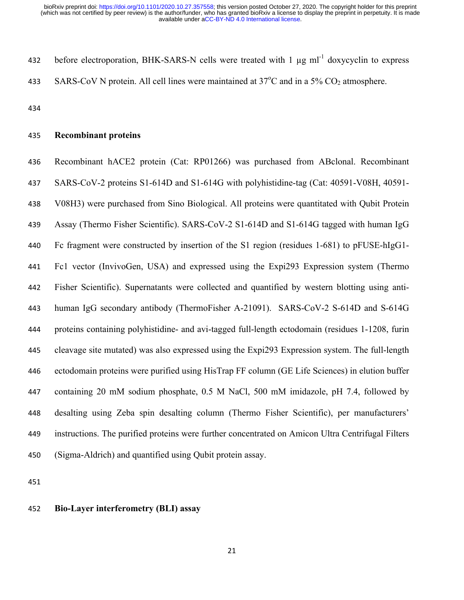432 before electroporation, BHK-SARS-N cells were treated with  $1 \mu g \text{ ml}^{-1}$  doxycyclin to express 433 SARS-CoV N protein. All cell lines were maintained at  $37^{\circ}$ C and in a 5% CO<sub>2</sub> atmosphere.

### **Recombinant proteins**

 Recombinant hACE2 protein (Cat: RP01266) was purchased from ABclonal. Recombinant SARS-CoV-2 proteins S1-614D and S1-614G with polyhistidine-tag (Cat: 40591-V08H, 40591- V08H3) were purchased from Sino Biological. All proteins were quantitated with Qubit Protein Assay (Thermo Fisher Scientific). SARS-CoV-2 S1-614D and S1-614G tagged with human IgG Fc fragment were constructed by insertion of the S1 region (residues 1-681) to pFUSE-hIgG1- Fc1 vector (InvivoGen, USA) and expressed using the Expi293 Expression system (Thermo Fisher Scientific). Supernatants were collected and quantified by western blotting using anti- human IgG secondary antibody (ThermoFisher A-21091). SARS-CoV-2 S-614D and S-614G proteins containing polyhistidine- and avi-tagged full-length ectodomain (residues 1-1208, furin cleavage site mutated) was also expressed using the Expi293 Expression system. The full-length ectodomain proteins were purified using HisTrap FF column (GE Life Sciences) in elution buffer containing 20 mM sodium phosphate, 0.5 M NaCl, 500 mM imidazole, pH 7.4, followed by desalting using Zeba spin desalting column (Thermo Fisher Scientific), per manufacturers' instructions. The purified proteins were further concentrated on Amicon Ultra Centrifugal Filters (Sigma-Aldrich) and quantified using Qubit protein assay.

### **Bio-Layer interferometry (BLI) assay**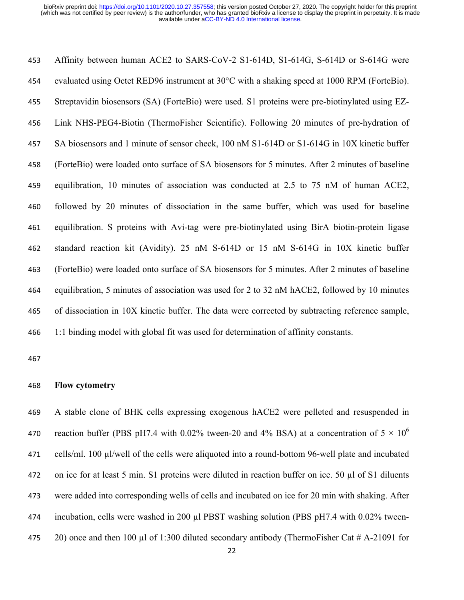Affinity between human ACE2 to SARS-CoV-2 S1-614D, S1-614G, S-614D or S-614G were evaluated using Octet RED96 instrument at 30°C with a shaking speed at 1000 RPM (ForteBio). Streptavidin biosensors (SA) (ForteBio) were used. S1 proteins were pre-biotinylated using EZ- Link NHS-PEG4-Biotin (ThermoFisher Scientific). Following 20 minutes of pre-hydration of SA biosensors and 1 minute of sensor check, 100 nM S1-614D or S1-614G in 10X kinetic buffer (ForteBio) were loaded onto surface of SA biosensors for 5 minutes. After 2 minutes of baseline equilibration, 10 minutes of association was conducted at 2.5 to 75 nM of human ACE2, followed by 20 minutes of dissociation in the same buffer, which was used for baseline equilibration. S proteins with Avi-tag were pre-biotinylated using BirA biotin-protein ligase standard reaction kit (Avidity). 25 nM S-614D or 15 nM S-614G in 10X kinetic buffer (ForteBio) were loaded onto surface of SA biosensors for 5 minutes. After 2 minutes of baseline equilibration, 5 minutes of association was used for 2 to 32 nM hACE2, followed by 10 minutes of dissociation in 10X kinetic buffer. The data were corrected by subtracting reference sample, 1:1 binding model with global fit was used for determination of affinity constants.

### **Flow cytometry**

 A stable clone of BHK cells expressing exogenous hACE2 were pelleted and resuspended in 470 reaction buffer (PBS pH7.4 with 0.02% tween-20 and 4% BSA) at a concentration of  $5 \times 10^6$  cells/ml. 100 µl/well of the cells were aliquoted into a round-bottom 96-well plate and incubated on ice for at least 5 min. S1 proteins were diluted in reaction buffer on ice. 50 µl of S1 diluents were added into corresponding wells of cells and incubated on ice for 20 min with shaking. After incubation, cells were washed in 200 µl PBST washing solution (PBS pH7.4 with 0.02% tween-20) once and then 100 µl of 1:300 diluted secondary antibody (ThermoFisher Cat # A-21091 for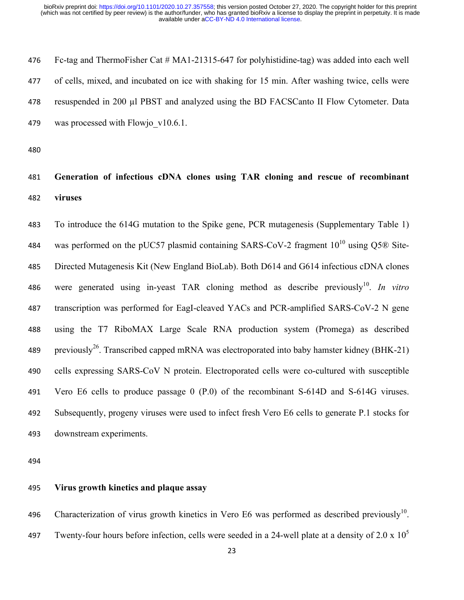Fc-tag and ThermoFisher Cat # MA1-21315-647 for polyhistidine-tag) was added into each well of cells, mixed, and incubated on ice with shaking for 15 min. After washing twice, cells were resuspended in 200 µl PBST and analyzed using the BD FACSCanto II Flow Cytometer. Data 479 was processed with Flowjo v10.6.1.

### **Generation of infectious cDNA clones using TAR cloning and rescue of recombinant viruses**

 To introduce the 614G mutation to the Spike gene, PCR mutagenesis (Supplementary Table 1) 484 was performed on the pUC57 plasmid containing SARS-CoV-2 fragment  $10^{10}$  using Q5 $\odot$  Site- Directed Mutagenesis Kit (New England BioLab). Both D614 and G614 infectious cDNA clones 486 were generated using in-yeast TAR cloning method as describe previously<sup>10</sup>. *In vitro*  transcription was performed for EagI-cleaved YACs and PCR-amplified SARS-CoV-2 N gene using the T7 RiboMAX Large Scale RNA production system (Promega) as described 489 previously<sup>26</sup>. Transcribed capped mRNA was electroporated into baby hamster kidney (BHK-21) cells expressing SARS-CoV N protein. Electroporated cells were co-cultured with susceptible Vero E6 cells to produce passage 0 (P.0) of the recombinant S-614D and S-614G viruses. Subsequently, progeny viruses were used to infect fresh Vero E6 cells to generate P.1 stocks for downstream experiments.

### **Virus growth kinetics and plaque assay**

496 Characterization of virus growth kinetics in Vero E6 was performed as described previously<sup>10</sup>. 497 Twenty-four hours before infection, cells were seeded in a 24-well plate at a density of 2.0 x  $10^5$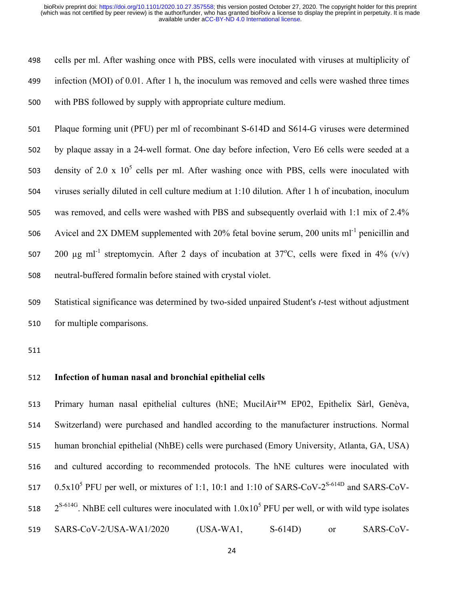cells per ml. After washing once with PBS, cells were inoculated with viruses at multiplicity of infection (MOI) of 0.01. After 1 h, the inoculum was removed and cells were washed three times with PBS followed by supply with appropriate culture medium.

 Plaque forming unit (PFU) per ml of recombinant S-614D and S614-G viruses were determined by plaque assay in a 24-well format. One day before infection, Vero E6 cells were seeded at a 503 density of 2.0 x  $10^5$  cells per ml. After washing once with PBS, cells were inoculated with viruses serially diluted in cell culture medium at 1:10 dilution. After 1 h of incubation, inoculum was removed, and cells were washed with PBS and subsequently overlaid with 1:1 mix of 2.4% 506 Avicel and 2X DMEM supplemented with 20% fetal bovine serum, 200 units  $ml^{-1}$  penicillin and  $\mu$ g ml<sup>-1</sup> streptomycin. After 2 days of incubation at 37°C, cells were fixed in 4% (v/v) neutral-buffered formalin before stained with crystal violet.

 Statistical significance was determined by two-sided unpaired Student's *t*-test without adjustment for multiple comparisons.

### **Infection of human nasal and bronchial epithelial cells**

 Primary human nasal epithelial cultures (hNE; MucilAir™ EP02, Epithelix Sàrl, Genèva, Switzerland) were purchased and handled according to the manufacturer instructions. Normal human bronchial epithelial (NhBE) cells were purchased (Emory University, Atlanta, GA, USA) and cultured according to recommended protocols. The hNE cultures were inoculated with  $0.5x10^5$  PFU per well, or mixtures of 1:1, 10:1 and 1:10 of SARS-CoV-2<sup>S-614D</sup> and SARS-CoV- $2^{S-614G}$ . NhBE cell cultures were inoculated with  $1.0x10^5$  PFU per well, or with wild type isolates SARS-CoV-2/USA-WA1/2020 (USA-WA1, S-614D) or SARS-CoV-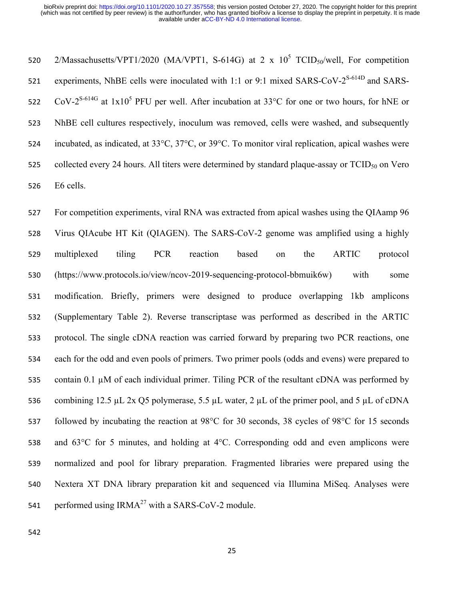520 2/Massachusetts/VPT1/2020 (MA/VPT1, S-614G) at 2 x  $10^5$  TCID<sub>50</sub>/well, For competition 521 experiments, NhBE cells were inoculated with 1:1 or 9:1 mixed SARS-CoV- $2^{S-614D}$  and SARS-522 CoV-2<sup>S-614G</sup> at  $1x10^5$  PFU per well. After incubation at 33°C for one or two hours, for hNE or NhBE cell cultures respectively, inoculum was removed, cells were washed, and subsequently incubated, as indicated, at 33°C, 37°C, or 39°C. To monitor viral replication, apical washes were 525 collected every 24 hours. All titers were determined by standard plaque-assay or  $TCID_{50}$  on Vero E6 cells.

 For competition experiments, viral RNA was extracted from apical washes using the QIAamp 96 Virus QIAcube HT Kit (QIAGEN). The SARS-CoV-2 genome was amplified using a highly multiplexed tiling PCR reaction based on the ARTIC protocol (https://www.protocols.io/view/ncov-2019-sequencing-protocol-bbmuik6w) with some modification. Briefly, primers were designed to produce overlapping 1kb amplicons (Supplementary Table 2). Reverse transcriptase was performed as described in the ARTIC protocol. The single cDNA reaction was carried forward by preparing two PCR reactions, one each for the odd and even pools of primers. Two primer pools (odds and evens) were prepared to contain 0.1 µM of each individual primer. Tiling PCR of the resultant cDNA was performed by 536 combining 12.5 µL 2x Q5 polymerase, 5.5 µL water, 2 µL of the primer pool, and 5 µL of cDNA followed by incubating the reaction at 98°C for 30 seconds, 38 cycles of 98°C for 15 seconds and 63°C for 5 minutes, and holding at 4°C. Corresponding odd and even amplicons were normalized and pool for library preparation. Fragmented libraries were prepared using the Nextera XT DNA library preparation kit and sequenced via Illumina MiSeq. Analyses were 541 performed using  $IRMA^{27}$  with a SARS-CoV-2 module.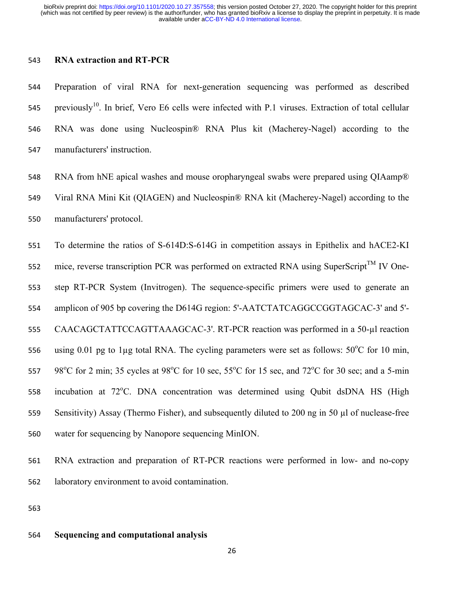### **RNA extraction and RT-PCR**

 Preparation of viral RNA for next-generation sequencing was performed as described 545 previously<sup>10</sup>. In brief, Vero E6 cells were infected with P.1 viruses. Extraction of total cellular RNA was done using Nucleospin® RNA Plus kit (Macherey-Nagel) according to the manufacturers' instruction.

548 RNA from hNE apical washes and mouse oropharyngeal swabs were prepared using QIAamp® Viral RNA Mini Kit (QIAGEN) and Nucleospin® RNA kit (Macherey-Nagel) according to the manufacturers' protocol.

 To determine the ratios of S-614D:S-614G in competition assays in Epithelix and hACE2-KI 552 mice, reverse transcription PCR was performed on extracted RNA using SuperScript<sup>TM</sup> IV One- step RT-PCR System (Invitrogen). The sequence-specific primers were used to generate an amplicon of 905 bp covering the D614G region: 5'-AATCTATCAGGCCGGTAGCAC-3' and 5'- CAACAGCTATTCCAGTTAAAGCAC-3'. RT-PCR reaction was performed in a 50-µl reaction 556 using 0.01 pg to 1 $\mu$ g total RNA. The cycling parameters were set as follows: 50 $^{\circ}$ C for 10 min, 557 98<sup>o</sup>C for 2 min; 35 cycles at 98<sup>o</sup>C for 10 sec, 55<sup>o</sup>C for 15 sec, and 72<sup>o</sup>C for 30 sec; and a 5-min 558 incubation at 72°C. DNA concentration was determined using Qubit dsDNA HS (High Sensitivity) Assay (Thermo Fisher), and subsequently diluted to 200 ng in 50 µl of nuclease-free water for sequencing by Nanopore sequencing MinION.

- RNA extraction and preparation of RT-PCR reactions were performed in low- and no-copy laboratory environment to avoid contamination.
- 

#### **Sequencing and computational analysis**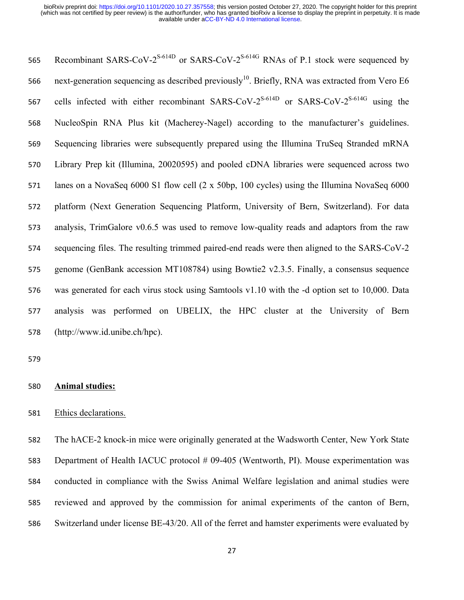565 Recombinant SARS-CoV- $2^{S-614D}$  or SARS-CoV- $2^{S-614G}$  RNAs of P.1 stock were sequenced by 566 next-generation sequencing as described previously<sup>10</sup>. Briefly, RNA was extracted from Vero E6 567 cells infected with either recombinant SARS-CoV- $2^{S-614D}$  or SARS-CoV- $2^{S-614G}$  using the NucleoSpin RNA Plus kit (Macherey-Nagel) according to the manufacturer's guidelines. Sequencing libraries were subsequently prepared using the Illumina TruSeq Stranded mRNA Library Prep kit (Illumina, 20020595) and pooled cDNA libraries were sequenced across two lanes on a NovaSeq 6000 S1 flow cell (2 x 50bp, 100 cycles) using the Illumina NovaSeq 6000 platform (Next Generation Sequencing Platform, University of Bern, Switzerland). For data analysis, TrimGalore v0.6.5 was used to remove low-quality reads and adaptors from the raw sequencing files. The resulting trimmed paired-end reads were then aligned to the SARS-CoV-2 genome (GenBank accession MT108784) using Bowtie2 v2.3.5. Finally, a consensus sequence was generated for each virus stock using Samtools v1.10 with the -d option set to 10,000. Data analysis was performed on UBELIX, the HPC cluster at the University of Bern (http://www.id.unibe.ch/hpc).

### **Animal studies:**

### Ethics declarations.

 The hACE-2 knock-in mice were originally generated at the Wadsworth Center, New York State 583 Department of Health IACUC protocol # 09-405 (Wentworth, PI). Mouse experimentation was conducted in compliance with the Swiss Animal Welfare legislation and animal studies were reviewed and approved by the commission for animal experiments of the canton of Bern, Switzerland under license BE-43/20. All of the ferret and hamster experiments were evaluated by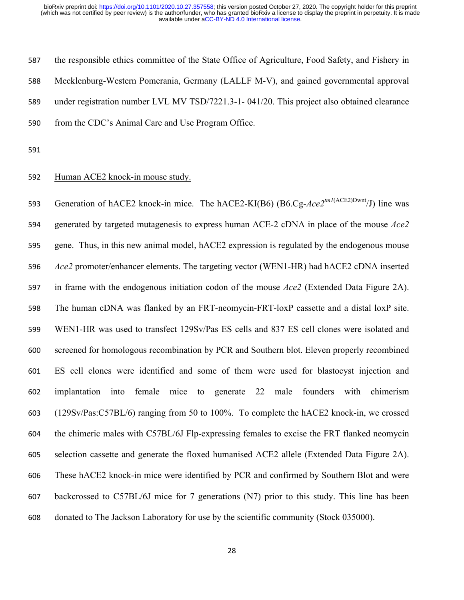the responsible ethics committee of the State Office of Agriculture, Food Safety, and Fishery in Mecklenburg-Western Pomerania, Germany (LALLF M-V), and gained governmental approval under registration number LVL MV TSD/7221.3-1- 041/20. This project also obtained clearance from the CDC's Animal Care and Use Program Office.

### Human ACE2 knock-in mouse study.

593 Generation of hACE2 knock-in mice. The hACE2-KI(B6) (B6.Cg-Ace2<sup>tm1(ACE2)Dwnt</sup>/J) line was generated by targeted mutagenesis to express human ACE-2 cDNA in place of the mouse *Ace2* gene. Thus, in this new animal model, hACE2 expression is regulated by the endogenous mouse *Ace2* promoter/enhancer elements. The targeting vector (WEN1-HR) had hACE2 cDNA inserted in frame with the endogenous initiation codon of the mouse *Ace2* (Extended Data Figure 2A). The human cDNA was flanked by an FRT-neomycin-FRT-loxP cassette and a distal loxP site. WEN1-HR was used to transfect 129Sv/Pas ES cells and 837 ES cell clones were isolated and screened for homologous recombination by PCR and Southern blot. Eleven properly recombined ES cell clones were identified and some of them were used for blastocyst injection and implantation into female mice to generate 22 male founders with chimerism (129Sv/Pas:C57BL/6) ranging from 50 to 100%. To complete the hACE2 knock-in, we crossed the chimeric males with C57BL/6J Flp-expressing females to excise the FRT flanked neomycin selection cassette and generate the floxed humanised ACE2 allele (Extended Data Figure 2A). These hACE2 knock-in mice were identified by PCR and confirmed by Southern Blot and were backcrossed to C57BL/6J mice for 7 generations (N7) prior to this study. This line has been donated to The Jackson Laboratory for use by the scientific community (Stock 035000).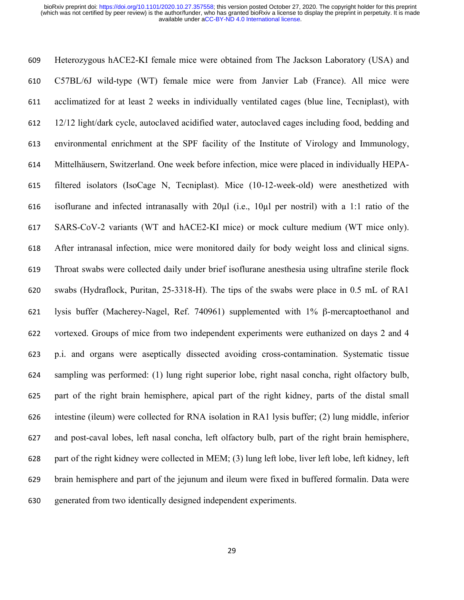Heterozygous hACE2-KI female mice were obtained from The Jackson Laboratory (USA) and C57BL/6J wild-type (WT) female mice were from Janvier Lab (France). All mice were acclimatized for at least 2 weeks in individually ventilated cages (blue line, Tecniplast), with 12/12 light/dark cycle, autoclaved acidified water, autoclaved cages including food, bedding and environmental enrichment at the SPF facility of the Institute of Virology and Immunology, Mittelhäusern, Switzerland. One week before infection, mice were placed in individually HEPA- filtered isolators (IsoCage N, Tecniplast). Mice (10-12-week-old) were anesthetized with isoflurane and infected intranasally with 20µl (i.e., 10µl per nostril) with a 1:1 ratio of the SARS-CoV-2 variants (WT and hACE2-KI mice) or mock culture medium (WT mice only). After intranasal infection, mice were monitored daily for body weight loss and clinical signs. Throat swabs were collected daily under brief isoflurane anesthesia using ultrafine sterile flock swabs (Hydraflock, Puritan, 25-3318-H). The tips of the swabs were place in 0.5 mL of RA1 lysis buffer (Macherey-Nagel, Ref. 740961) supplemented with 1% β-mercaptoethanol and vortexed. Groups of mice from two independent experiments were euthanized on days 2 and 4 p.i. and organs were aseptically dissected avoiding cross-contamination. Systematic tissue sampling was performed: (1) lung right superior lobe, right nasal concha, right olfactory bulb, part of the right brain hemisphere, apical part of the right kidney, parts of the distal small intestine (ileum) were collected for RNA isolation in RA1 lysis buffer; (2) lung middle, inferior and post-caval lobes, left nasal concha, left olfactory bulb, part of the right brain hemisphere, part of the right kidney were collected in MEM; (3) lung left lobe, liver left lobe, left kidney, left brain hemisphere and part of the jejunum and ileum were fixed in buffered formalin. Data were generated from two identically designed independent experiments.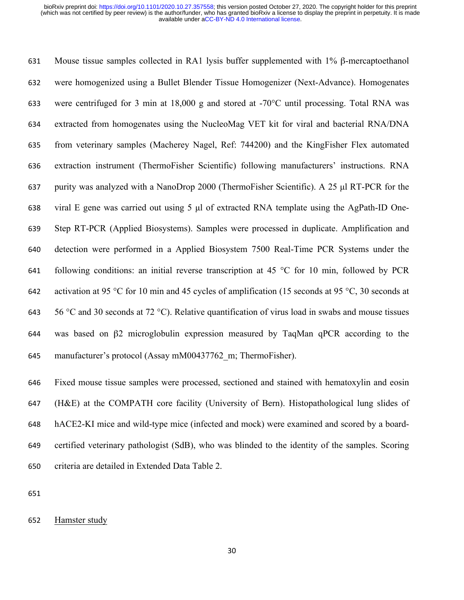Mouse tissue samples collected in RA1 lysis buffer supplemented with 1% β-mercaptoethanol were homogenized using a Bullet Blender Tissue Homogenizer (Next-Advance). Homogenates were centrifuged for 3 min at 18,000 g and stored at -70°C until processing. Total RNA was extracted from homogenates using the NucleoMag VET kit for viral and bacterial RNA/DNA from veterinary samples (Macherey Nagel, Ref: 744200) and the KingFisher Flex automated extraction instrument (ThermoFisher Scientific) following manufacturers' instructions. RNA purity was analyzed with a NanoDrop 2000 (ThermoFisher Scientific). A 25 µl RT-PCR for the viral E gene was carried out using 5 µl of extracted RNA template using the AgPath-ID One- Step RT-PCR (Applied Biosystems). Samples were processed in duplicate. Amplification and detection were performed in a Applied Biosystem 7500 Real-Time PCR Systems under the 641 following conditions: an initial reverse transcription at 45  $\degree$ C for 10 min, followed by PCR activation at 95 °C for 10 min and 45 cycles of amplification (15 seconds at 95 °C, 30 seconds at 643 56 °C and 30 seconds at 72 °C). Relative quantification of virus load in swabs and mouse tissues was based on β2 microglobulin expression measured by TaqMan qPCR according to the manufacturer's protocol (Assay mM00437762\_m; ThermoFisher).

 Fixed mouse tissue samples were processed, sectioned and stained with hematoxylin and eosin (H&E) at the COMPATH core facility (University of Bern). Histopathological lung slides of hACE2-KI mice and wild-type mice (infected and mock) were examined and scored by a board- certified veterinary pathologist (SdB), who was blinded to the identity of the samples. Scoring criteria are detailed in Extended Data Table 2.

Hamster study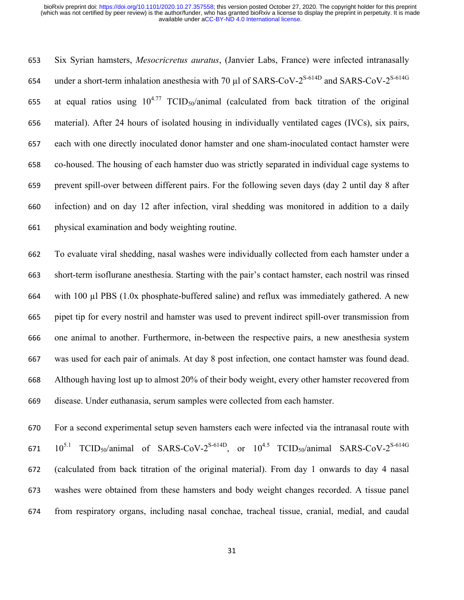Six Syrian hamsters, *Mesocricretus auratus*, (Janvier Labs, France) were infected intranasally 654 under a short-term inhalation anesthesia with 70  $\mu$ l of SARS-CoV-2<sup>S-614D</sup> and SARS-CoV-2<sup>S-614G</sup> 655 at equal ratios using  $10^{4.77}$  TCID<sub>50</sub>/animal (calculated from back titration of the original material). After 24 hours of isolated housing in individually ventilated cages (IVCs), six pairs, each with one directly inoculated donor hamster and one sham-inoculated contact hamster were co-housed. The housing of each hamster duo was strictly separated in individual cage systems to prevent spill-over between different pairs. For the following seven days (day 2 until day 8 after infection) and on day 12 after infection, viral shedding was monitored in addition to a daily physical examination and body weighting routine.

 To evaluate viral shedding, nasal washes were individually collected from each hamster under a short-term isoflurane anesthesia. Starting with the pair's contact hamster, each nostril was rinsed with 100 µl PBS (1.0x phosphate-buffered saline) and reflux was immediately gathered. A new pipet tip for every nostril and hamster was used to prevent indirect spill-over transmission from one animal to another. Furthermore, in-between the respective pairs, a new anesthesia system was used for each pair of animals. At day 8 post infection, one contact hamster was found dead. Although having lost up to almost 20% of their body weight, every other hamster recovered from disease. Under euthanasia, serum samples were collected from each hamster.

 For a second experimental setup seven hamsters each were infected via the intranasal route with  $10^{5.1}$  TCID<sub>50</sub>/animal of SARS-CoV-2<sup>S-614D</sup>, or  $10^{4.5}$  TCID<sub>50</sub>/animal SARS-CoV-2<sup>S-614G</sup> (calculated from back titration of the original material). From day 1 onwards to day 4 nasal washes were obtained from these hamsters and body weight changes recorded. A tissue panel from respiratory organs, including nasal conchae, tracheal tissue, cranial, medial, and caudal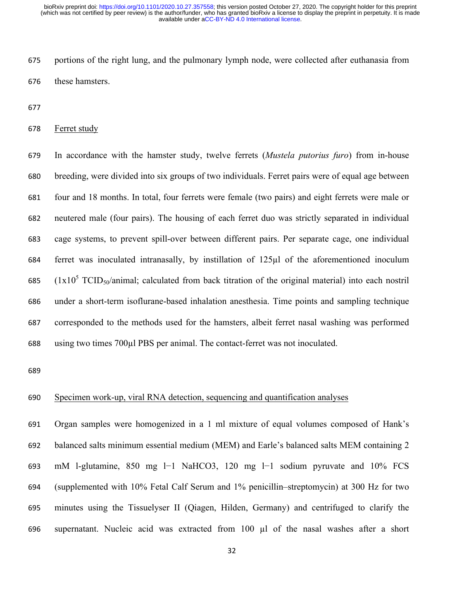portions of the right lung, and the pulmonary lymph node, were collected after euthanasia from these hamsters.

#### Ferret study

 In accordance with the hamster study, twelve ferrets (*Mustela putorius furo*) from in-house breeding, were divided into six groups of two individuals. Ferret pairs were of equal age between four and 18 months. In total, four ferrets were female (two pairs) and eight ferrets were male or neutered male (four pairs). The housing of each ferret duo was strictly separated in individual cage systems, to prevent spill-over between different pairs. Per separate cage, one individual ferret was inoculated intranasally, by instillation of 125µl of the aforementioned inoculum 685 ( $1x10^5$  TCID<sub>50</sub>/animal; calculated from back titration of the original material) into each nostril under a short-term isoflurane-based inhalation anesthesia. Time points and sampling technique corresponded to the methods used for the hamsters, albeit ferret nasal washing was performed using two times 700µl PBS per animal. The contact-ferret was not inoculated.

### Specimen work-up, viral RNA detection, sequencing and quantification analyses

 Organ samples were homogenized in a 1 ml mixture of equal volumes composed of Hank's balanced salts minimum essential medium (MEM) and Earle's balanced salts MEM containing 2 mM l-glutamine, 850 mg l−1 NaHCO3, 120 mg l−1 sodium pyruvate and 10% FCS (supplemented with 10% Fetal Calf Serum and 1% penicillin–streptomycin) at 300 Hz for two minutes using the Tissuelyser II (Qiagen, Hilden, Germany) and centrifuged to clarify the supernatant. Nucleic acid was extracted from 100 µl of the nasal washes after a short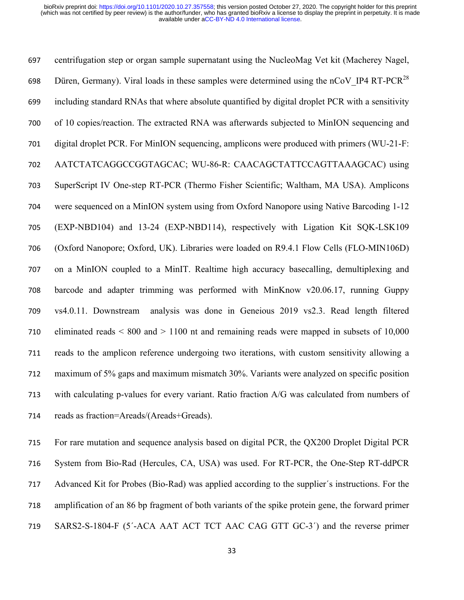centrifugation step or organ sample supernatant using the NucleoMag Vet kit (Macherey Nagel, 698 Düren, Germany). Viral loads in these samples were determined using the nCoV IP4 RT-PCR<sup>28</sup> including standard RNAs that where absolute quantified by digital droplet PCR with a sensitivity of 10 copies/reaction. The extracted RNA was afterwards subjected to MinION sequencing and digital droplet PCR. For MinION sequencing, amplicons were produced with primers (WU-21-F: AATCTATCAGGCCGGTAGCAC; WU-86-R: CAACAGCTATTCCAGTTAAAGCAC) using SuperScript IV One-step RT-PCR (Thermo Fisher Scientific; Waltham, MA USA). Amplicons were sequenced on a MinION system using from Oxford Nanopore using Native Barcoding 1-12 (EXP-NBD104) and 13-24 (EXP-NBD114), respectively with Ligation Kit SQK-LSK109 (Oxford Nanopore; Oxford, UK). Libraries were loaded on R9.4.1 Flow Cells (FLO-MIN106D) on a MinION coupled to a MinIT. Realtime high accuracy basecalling, demultiplexing and barcode and adapter trimming was performed with MinKnow v20.06.17, running Guppy vs4.0.11. Downstream analysis was done in Geneious 2019 vs2.3. Read length filtered eliminated reads < 800 and > 1100 nt and remaining reads were mapped in subsets of 10,000 reads to the amplicon reference undergoing two iterations, with custom sensitivity allowing a maximum of 5% gaps and maximum mismatch 30%. Variants were analyzed on specific position with calculating p-values for every variant. Ratio fraction A/G was calculated from numbers of reads as fraction=Areads/(Areads+Greads).

 For rare mutation and sequence analysis based on digital PCR, the QX200 Droplet Digital PCR System from Bio-Rad (Hercules, CA, USA) was used. For RT-PCR, the One-Step RT-ddPCR Advanced Kit for Probes (Bio-Rad) was applied according to the supplier´s instructions. For the amplification of an 86 bp fragment of both variants of the spike protein gene, the forward primer SARS2-S-1804-F (5´-ACA AAT ACT TCT AAC CAG GTT GC-3´) and the reverse primer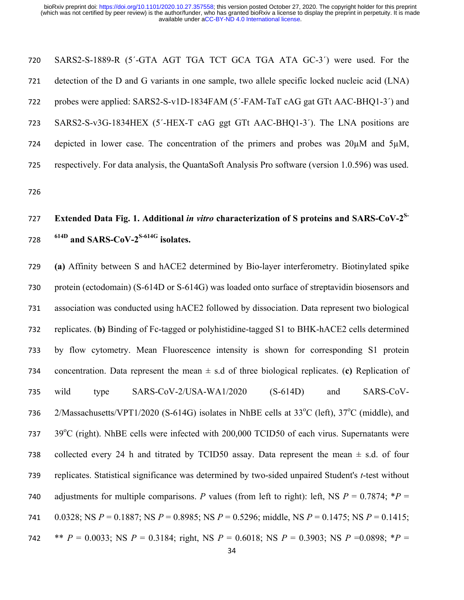SARS2-S-1889-R (5´-GTA AGT TGA TCT GCA TGA ATA GC-3´) were used. For the detection of the D and G variants in one sample, two allele specific locked nucleic acid (LNA) probes were applied: SARS2-S-v1D-1834FAM (5´-FAM-TaT cAG gat GTt AAC-BHQ1-3´) and SARS2-S-v3G-1834HEX (5´-HEX-T cAG ggt GTt AAC-BHQ1-3´). The LNA positions are depicted in lower case. The concentration of the primers and probes was 20µM and 5µM, respectively. For data analysis, the QuantaSoft Analysis Pro software (version 1.0.596) was used.

# **Extended Data Fig. 1. Additional** *in vitro* **characterization of S proteins and SARS-CoV-2S- 614D and SARS-CoV-2S-614G isolates.**

 **(a)** Affinity between S and hACE2 determined by Bio-layer interferometry. Biotinylated spike protein (ectodomain) (S-614D or S-614G) was loaded onto surface of streptavidin biosensors and association was conducted using hACE2 followed by dissociation. Data represent two biological replicates. (**b)** Binding of Fc-tagged or polyhistidine-tagged S1 to BHK-hACE2 cells determined by flow cytometry. Mean Fluorescence intensity is shown for corresponding S1 protein concentration. Data represent the mean ± s.d of three biological replicates. (**c)** Replication of wild type SARS-CoV-2/USA-WA1/2020 (S-614D) and SARS-CoV-736 2/Massachusetts/VPT1/2020 (S-614G) isolates in NhBE cells at  $33^{\circ}$ C (left),  $37^{\circ}$ C (middle), and  $39^{\circ}$ C (right). NhBE cells were infected with 200,000 TCID50 of each virus. Supernatants were 738 collected every 24 h and titrated by TCID50 assay. Data represent the mean  $\pm$  s.d. of four replicates. Statistical significance was determined by two-sided unpaired Student's *t*-test without 740 adjustments for multiple comparisons. *P* values (from left to right): left, NS  $P = 0.7874$ ; \* $P =$  0.0328; NS *P* = 0.1887; NS *P* = 0.8985; NS *P* = 0.5296; middle, NS *P* = 0.1475; NS *P* = 0.1415; 742 \*\* *P* = 0.0033; NS *P* = 0.3184; right, NS *P* = 0.6018; NS *P* = 0.3903; NS *P* = 0.0898; \**P* =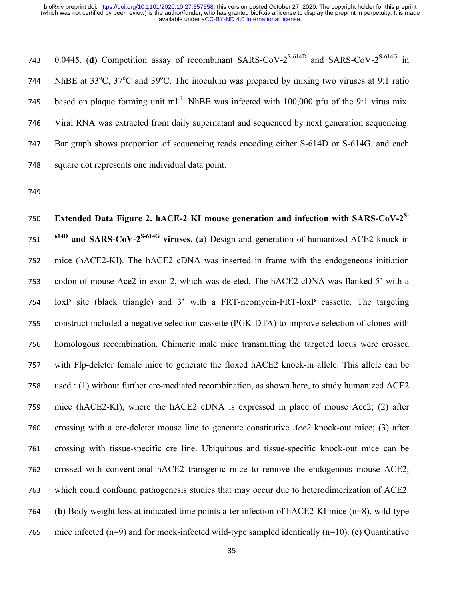743 0.0445. (**d**) Competition assay of recombinant SARS-CoV-2<sup>S-614D</sup> and SARS-CoV-2<sup>S-614G</sup> in 744 NhBE at  $33^{\circ}$ C,  $37^{\circ}$ C and  $39^{\circ}$ C. The inoculum was prepared by mixing two viruses at 9:1 ratio 745 based on plaque forming unit ml<sup>-1</sup>. NhBE was infected with  $100,000$  pfu of the 9:1 virus mix. Viral RNA was extracted from daily supernatant and sequenced by next generation sequencing. Bar graph shows proportion of sequencing reads encoding either S-614D or S-614G, and each square dot represents one individual data point.

750 Extended Data Figure 2. hACE-2 KI mouse generation and infection with SARS-CoV-2<sup>S-</sup> **614D and SARS-CoV-2S-614G viruses.** (**a**) Design and generation of humanized ACE2 knock-in mice (hACE2-KI). The hACE2 cDNA was inserted in frame with the endogeneous initiation codon of mouse Ace2 in exon 2, which was deleted. The hACE2 cDNA was flanked 5' with a loxP site (black triangle) and 3' with a FRT-neomycin-FRT-loxP cassette. The targeting construct included a negative selection cassette (PGK-DTA) to improve selection of clones with homologous recombination. Chimeric male mice transmitting the targeted locus were crossed with Flp-deleter female mice to generate the floxed hACE2 knock-in allele. This allele can be used : (1) without further cre-mediated recombination, as shown here, to study humanized ACE2 mice (hACE2-KI), where the hACE2 cDNA is expressed in place of mouse Ace2; (2) after crossing with a cre-deleter mouse line to generate constitutive *Ace2* knock-out mice; (3) after crossing with tissue-specific cre line. Ubiquitous and tissue-specific knock-out mice can be crossed with conventional hACE2 transgenic mice to remove the endogenous mouse ACE2, which could confound pathogenesis studies that may occur due to heterodimerization of ACE2. (**b**) Body weight loss at indicated time points after infection of hACE2-KI mice (n=8), wild-type mice infected (n=9) and for mock-infected wild-type sampled identically (n=10). (**c**) Quantitative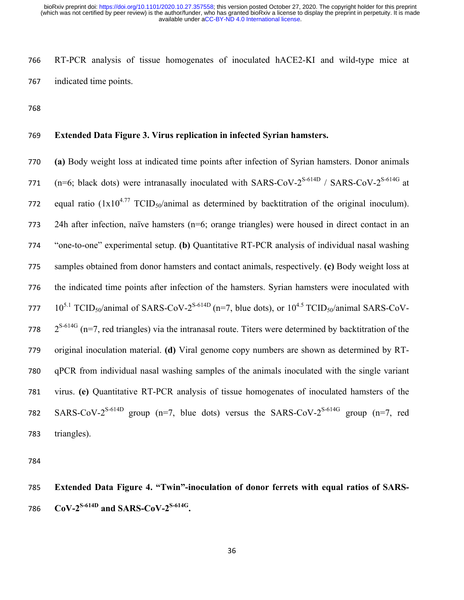RT-PCR analysis of tissue homogenates of inoculated hACE2-KI and wild-type mice at indicated time points.

### **Extended Data Figure 3. Virus replication in infected Syrian hamsters.**

 **(a)** Body weight loss at indicated time points after infection of Syrian hamsters. Donor animals 771 (n=6; black dots) were intranasally inoculated with SARS-CoV- $2^{S-614D}$  / SARS-CoV- $2^{S-614G}$  at 772 equal ratio  $(1x10^{4.77} \text{ TCID}_{50}/\text{animal}$  as determined by backtitration of the original inoculum). 24h after infection, naïve hamsters (n=6; orange triangles) were housed in direct contact in an "one-to-one" experimental setup. **(b)** Quantitative RT-PCR analysis of individual nasal washing samples obtained from donor hamsters and contact animals, respectively. **(c)** Body weight loss at the indicated time points after infection of the hamsters. Syrian hamsters were inoculated with  $10^{5.1}$  TCID<sub>50</sub>/animal of SARS-CoV-2<sup>S-614D</sup> (n=7, blue dots), or  $10^{4.5}$  TCID<sub>50</sub>/animal SARS-CoV- $2^{S-614G}$  (n=7, red triangles) via the intranasal route. Titers were determined by backtitration of the original inoculation material. **(d)** Viral genome copy numbers are shown as determined by RT- qPCR from individual nasal washing samples of the animals inoculated with the single variant virus. **(e)** Quantitative RT-PCR analysis of tissue homogenates of inoculated hamsters of the 782 SARS-CoV-2<sup>S-614D</sup> group (n=7, blue dots) versus the SARS-CoV-2<sup>S-614G</sup> group (n=7, red triangles).

 **Extended Data Figure 4. "Twin"-inoculation of donor ferrets with equal ratios of SARS-CoV-2S-614D and SARS-CoV-2S-614G .**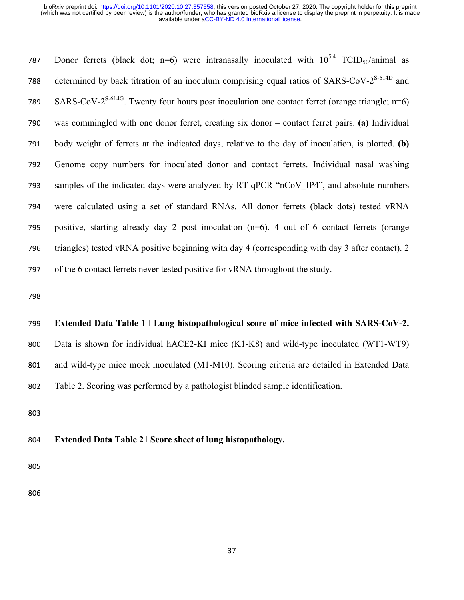787 Donor ferrets (black dot; n=6) were intranasally inoculated with  $10^{5.4}$  TCID<sub>50</sub>/animal as 788 determined by back titration of an inoculum comprising equal ratios of SARS-CoV- $2^{S-614D}$  and SARS-CoV- $2^{S-614G}$ . Twenty four hours post inoculation one contact ferret (orange triangle; n=6) was commingled with one donor ferret, creating six donor – contact ferret pairs. **(a)** Individual body weight of ferrets at the indicated days, relative to the day of inoculation, is plotted. **(b)**  Genome copy numbers for inoculated donor and contact ferrets. Individual nasal washing samples of the indicated days were analyzed by RT-qPCR "nCoV\_IP4", and absolute numbers were calculated using a set of standard RNAs. All donor ferrets (black dots) tested vRNA positive, starting already day 2 post inoculation (n=6). 4 out of 6 contact ferrets (orange triangles) tested vRNA positive beginning with day 4 (corresponding with day 3 after contact). 2 of the 6 contact ferrets never tested positive for vRNA throughout the study.

### **Extended Data Table 1 ǀ Lung histopathological score of mice infected with SARS-CoV-2.**

 Data is shown for individual hACE2-KI mice (K1-K8) and wild-type inoculated (WT1-WT9) and wild-type mice mock inoculated (M1-M10). Scoring criteria are detailed in Extended Data Table 2. Scoring was performed by a pathologist blinded sample identification.

### **Extended Data Table 2 ǀ Score sheet of lung histopathology.**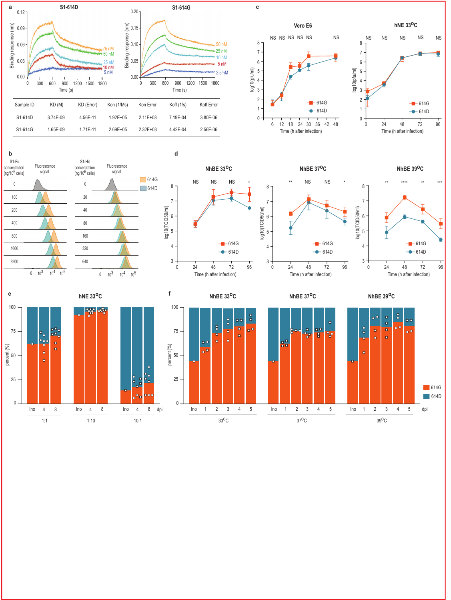













**NhBE 39oC**





 $\overline{\phantom{a}}$ 

 $\overline{B}$ 

Ь

100

75

50

percent (%)

25

 $\theta$ 

 **d**





**NhBE 39oC**

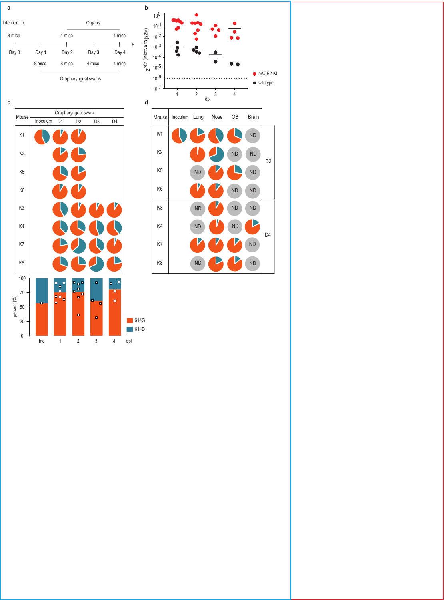



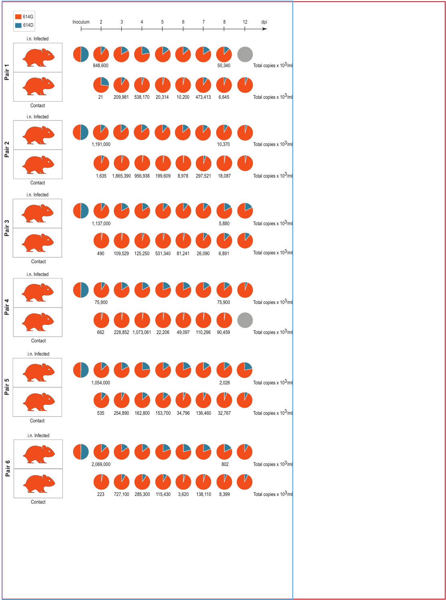|                   | 614G<br>614D |                          | Inoculum | $\sqrt{2}$ | 3                 | 4                 | 5       | 6      | 7       | 8      | 12 | dpi                                |
|-------------------|--------------|--------------------------|----------|------------|-------------------|-------------------|---------|--------|---------|--------|----|------------------------------------|
|                   |              | i.n. Infected            |          |            |                   |                   |         |        |         |        |    |                                    |
| Pair <sub>1</sub> |              |                          |          | 848,600    |                   |                   |         |        |         | 50,340 |    | Total copies x 103/ml              |
|                   |              |                          |          | 21         | 209,981           | 538,170           | 20,314  | 10,200 | 473,413 | 6,645  |    | Total copies x 10 <sup>3</sup> /ml |
|                   |              | Contact                  |          |            |                   |                   |         |        |         |        |    |                                    |
|                   |              | i.n. Infected            |          |            |                   |                   |         |        |         |        |    |                                    |
| Pair <sub>2</sub> |              |                          |          | 1,191,000  |                   |                   |         |        |         | 10,370 |    | Total copies x $10^3/m$            |
|                   |              |                          |          | 1,635      | 1,865,390 956,938 |                   | 199,609 | 8,978  | 297,521 | 18,087 |    | Total copies x 103/ml              |
|                   |              | Contact<br>i.n. Infected |          |            |                   |                   |         |        |         |        |    |                                    |
| Pair <sub>3</sub> |              |                          |          | 1,137,000  |                   |                   |         |        |         | 5,880  |    | Total copies x 10 <sup>3</sup> /ml |
|                   |              | Contact                  |          | 490        | 109,529           | 125,250           | 531,340 | 81,241 | 26,090  | 6,891  |    | Total copies x 10 <sup>3</sup> /ml |
|                   |              |                          |          |            |                   |                   |         |        |         |        |    |                                    |
|                   |              | i.n. Infected            |          | 75,900     |                   |                   |         |        |         | 75,900 |    | Total copies x 103/ml              |
| Pair 4            |              |                          |          | 662        |                   | 228,852 1,073,061 | 22,206  | 49,097 | 110,296 | 90,459 |    | Total copies x 103/ml              |
|                   |              | Contact                  |          |            |                   |                   |         |        |         |        |    |                                    |
|                   |              | i.n. Infected            |          |            |                   |                   |         |        |         |        |    |                                    |
| Pair 5            |              |                          |          | 1,054,000  |                   |                   |         |        |         | 2,026  | V  | Total copies x 10 <sup>3</sup> /ml |
|                   |              | Contact<br>i.n. Infected |          | 535        | 254,890           | 162,800           | 153,700 | 34,796 | 136,460 | 32,767 |    | Total copies x 103/ml              |
| Pair 6            |              |                          |          | 2,069,000  |                   |                   |         |        |         | 802    |    | Total copies x 10 <sup>3</sup> /ml |
|                   |              |                          |          | 223        | 727,100           | 285,300           | 115,430 | 3,620  | 138,110 | 8,399  | V  | Total copies x $10^3$ /ml          |
|                   |              | Contact                  |          |            |                   |                   |         |        |         |        |    |                                    |